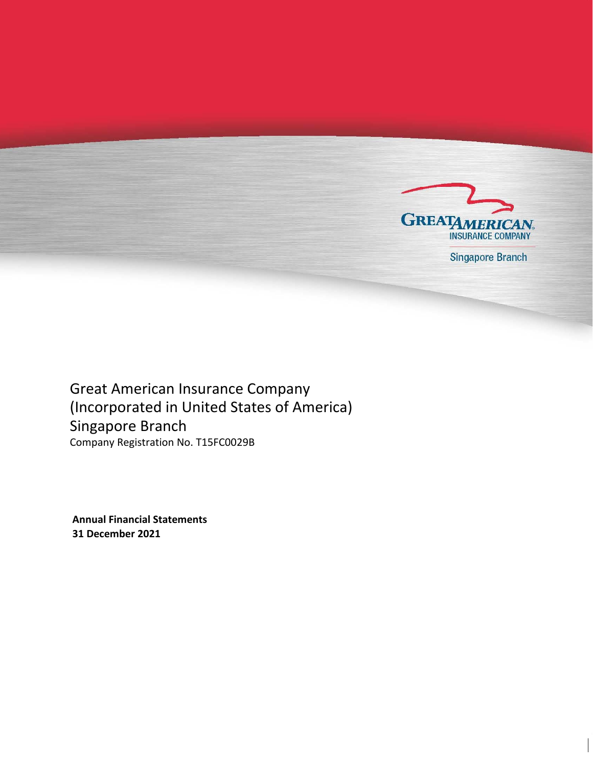

Singapore Branch

Great American Insurance Company (Incorporated in United States of America) Singapore Branch Company Registration No. T15FC0029B

**Annual Financial Statements 31 December 2021**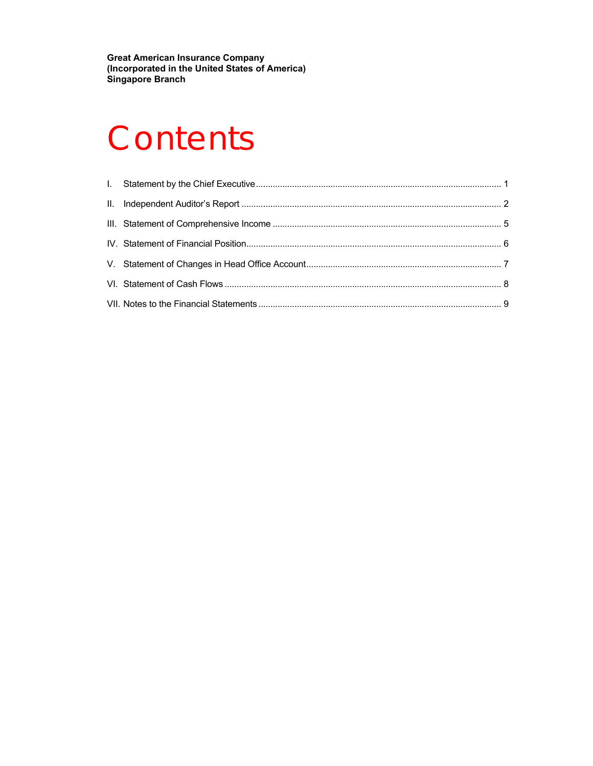**Great American Insurance Company (Incorporated in the United States of America) Singapore Branch** 

# **Contents**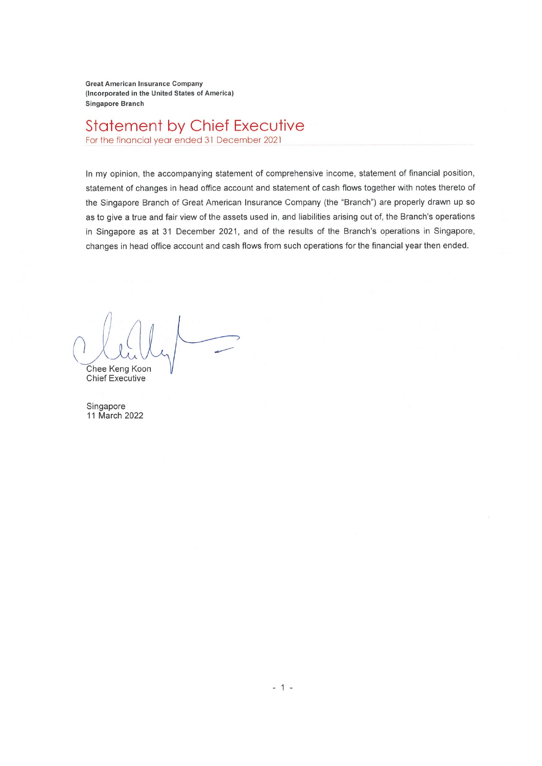**Great American Insurance Company** (Incorporated in the United States of America) Singapore Branch

# **Statement by Chief Executive**

For the financial year ended 31 December 2021

In my opinion, the accompanying statement of comprehensive income, statement of financial position, statement of changes in head office account and statement of cash flows together with notes thereto of the Singapore Branch of Great American Insurance Company (the "Branch") are properly drawn up so as to give a true and fair view of the assets used in, and liabilities arising out of, the Branch's operations in Singapore as at 31 December 2021, and of the results of the Branch's operations in Singapore, changes in head office account and cash flows from such operations for the financial year then ended.

Chee Keng Koon **Chief Executive** 

Singapore 11 March 2022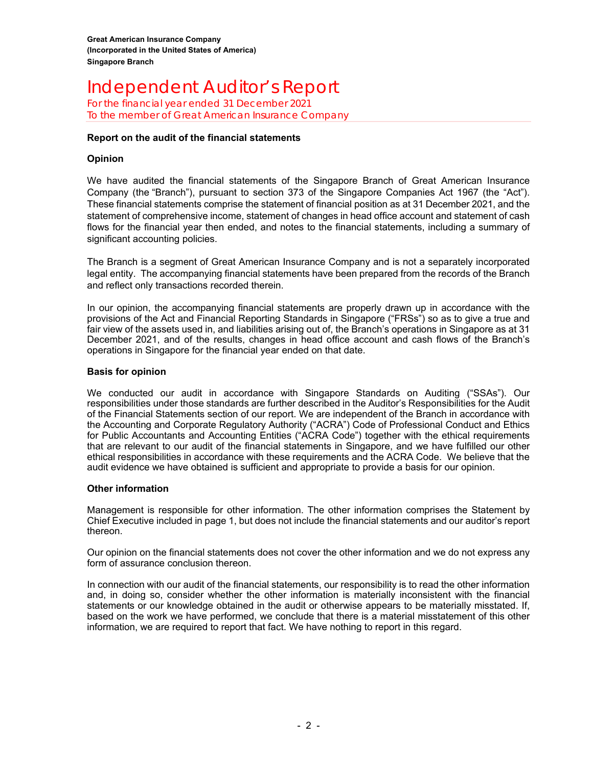#### Independent Auditor's ReportFor the financial year ended 31 December 2021 To the member of Great American Insurance Company

#### **Report on the audit of the financial statements**

#### **Opinion**

We have audited the financial statements of the Singapore Branch of Great American Insurance Company (the "Branch"), pursuant to section 373 of the Singapore Companies Act 1967 (the "Act"). These financial statements comprise the statement of financial position as at 31 December 2021, and the statement of comprehensive income, statement of changes in head office account and statement of cash flows for the financial year then ended, and notes to the financial statements, including a summary of significant accounting policies.

The Branch is a segment of Great American Insurance Company and is not a separately incorporated legal entity. The accompanying financial statements have been prepared from the records of the Branch and reflect only transactions recorded therein.

In our opinion, the accompanying financial statements are properly drawn up in accordance with the provisions of the Act and Financial Reporting Standards in Singapore ("FRSs") so as to give a true and fair view of the assets used in, and liabilities arising out of, the Branch's operations in Singapore as at 31 December 2021, and of the results, changes in head office account and cash flows of the Branch's operations in Singapore for the financial year ended on that date.

#### **Basis for opinion**

We conducted our audit in accordance with Singapore Standards on Auditing ("SSAs"). Our responsibilities under those standards are further described in the Auditor's Responsibilities for the Audit of the Financial Statements section of our report. We are independent of the Branch in accordance with the Accounting and Corporate Regulatory Authority ("ACRA") Code of Professional Conduct and Ethics for Public Accountants and Accounting Entities ("ACRA Code") together with the ethical requirements that are relevant to our audit of the financial statements in Singapore, and we have fulfilled our other ethical responsibilities in accordance with these requirements and the ACRA Code. We believe that the audit evidence we have obtained is sufficient and appropriate to provide a basis for our opinion.

#### **Other information**

Management is responsible for other information. The other information comprises the Statement by Chief Executive included in page 1, but does not include the financial statements and our auditor's report thereon.

Our opinion on the financial statements does not cover the other information and we do not express any form of assurance conclusion thereon.

In connection with our audit of the financial statements, our responsibility is to read the other information and, in doing so, consider whether the other information is materially inconsistent with the financial statements or our knowledge obtained in the audit or otherwise appears to be materially misstated. If, based on the work we have performed, we conclude that there is a material misstatement of this other information, we are required to report that fact. We have nothing to report in this regard.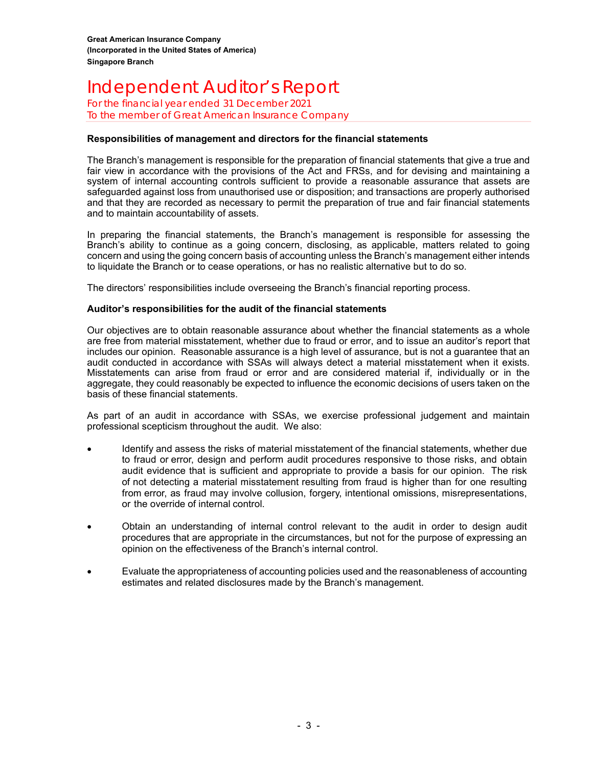#### Independent Auditor's ReportFor the financial year ended 31 December 2021 To the member of Great American Insurance Company

#### **Responsibilities of management and directors for the financial statements**

The Branch's management is responsible for the preparation of financial statements that give a true and fair view in accordance with the provisions of the Act and FRSs, and for devising and maintaining a system of internal accounting controls sufficient to provide a reasonable assurance that assets are safeguarded against loss from unauthorised use or disposition; and transactions are properly authorised and that they are recorded as necessary to permit the preparation of true and fair financial statements and to maintain accountability of assets.

In preparing the financial statements, the Branch's management is responsible for assessing the Branch's ability to continue as a going concern, disclosing, as applicable, matters related to going concern and using the going concern basis of accounting unless the Branch's management either intends to liquidate the Branch or to cease operations, or has no realistic alternative but to do so.

The directors' responsibilities include overseeing the Branch's financial reporting process.

#### **Auditor's responsibilities for the audit of the financial statements**

Our objectives are to obtain reasonable assurance about whether the financial statements as a whole are free from material misstatement, whether due to fraud or error, and to issue an auditor's report that includes our opinion. Reasonable assurance is a high level of assurance, but is not a guarantee that an audit conducted in accordance with SSAs will always detect a material misstatement when it exists. Misstatements can arise from fraud or error and are considered material if, individually or in the aggregate, they could reasonably be expected to influence the economic decisions of users taken on the basis of these financial statements.

As part of an audit in accordance with SSAs, we exercise professional judgement and maintain professional scepticism throughout the audit. We also:

- Identify and assess the risks of material misstatement of the financial statements, whether due to fraud or error, design and perform audit procedures responsive to those risks, and obtain audit evidence that is sufficient and appropriate to provide a basis for our opinion. The risk of not detecting a material misstatement resulting from fraud is higher than for one resulting from error, as fraud may involve collusion, forgery, intentional omissions, misrepresentations, or the override of internal control.
- Obtain an understanding of internal control relevant to the audit in order to design audit procedures that are appropriate in the circumstances, but not for the purpose of expressing an opinion on the effectiveness of the Branch's internal control.
- Evaluate the appropriateness of accounting policies used and the reasonableness of accounting estimates and related disclosures made by the Branch's management.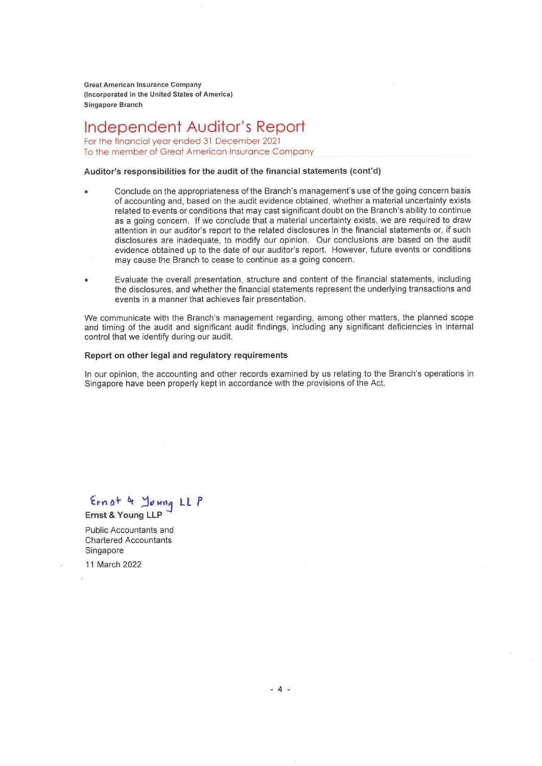**Great American Insurance Company** (Incorporated in the United States of America) **Singapore Branch** 

Independent Auditor's Report For the financial year ended 31 December 2021

To the member of Great American Insurance Company

#### Auditor's responsibilities for the audit of the financial statements (cont'd)

- Conclude on the appropriateness of the Branch's management's use of the going concern basis of accounting and, based on the audit evidence obtained, whether a material uncertainty exists related to events or conditions that may cast significant doubt on the Branch's ability to continue as a going concern. If we conclude that a material uncertainty exists, we are required to draw attention in our auditor's report to the related disclosures in the financial statements or, if such disclosures are inadequate, to modify our opinion. Our conclusions are based on the audit evidence obtained up to the date of our auditor's report. However, future events or conditions may cause the Branch to cease to continue as a going concern.
- Evaluate the overall presentation, structure and content of the financial statements, including the disclosures, and whether the financial statements represent the underlying transactions and events in a manner that achieves fair presentation.

We communicate with the Branch's management regarding, among other matters, the planned scope and timing of the audit and significant audit findings, including any significant deficiencies in internal control that we identify during our audit.

#### Report on other legal and regulatory requirements

In our opinion, the accounting and other records examined by us relating to the Branch's operations in Singapore have been properly kept in accordance with the provisions of the Act.

Ernot & Young LL P Ernst & Young LLP

Public Accountants and **Chartered Accountants** Singapore

11 March 2022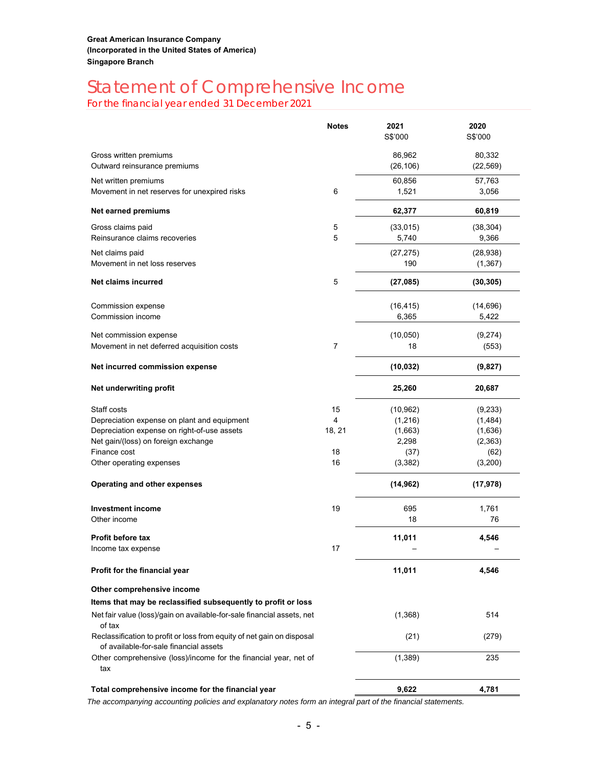# Statement of Comprehensive Income<br>For the financial year ended 31 December 2021

|                                                                                                                  | <b>Notes</b> | 2021<br>S\$'000     | 2020<br>S\$'000       |
|------------------------------------------------------------------------------------------------------------------|--------------|---------------------|-----------------------|
| Gross written premiums<br>Outward reinsurance premiums                                                           |              | 86,962<br>(26, 106) | 80,332<br>(22, 569)   |
| Net written premiums<br>Movement in net reserves for unexpired risks                                             | 6            | 60,856<br>1,521     | 57,763<br>3,056       |
| Net earned premiums                                                                                              |              | 62,377              | 60,819                |
| Gross claims paid<br>Reinsurance claims recoveries                                                               | 5<br>5       | (33,015)<br>5,740   | (38, 304)<br>9,366    |
| Net claims paid<br>Movement in net loss reserves                                                                 |              | (27, 275)<br>190    | (28, 938)<br>(1, 367) |
| Net claims incurred                                                                                              | 5            | (27, 085)           | (30, 305)             |
| Commission expense<br>Commission income                                                                          |              | (16, 415)<br>6,365  | (14, 696)<br>5,422    |
| Net commission expense                                                                                           |              | (10,050)            | (9,274)               |
| Movement in net deferred acquisition costs                                                                       | 7            | 18                  | (553)                 |
| Net incurred commission expense                                                                                  |              | (10, 032)           | (9,827)               |
| Net underwriting profit                                                                                          |              | 25,260              | 20,687                |
| Staff costs                                                                                                      | 15           | (10, 962)           | (9,233)               |
| Depreciation expense on plant and equipment                                                                      | 4            | (1,216)             | (1,484)               |
| Depreciation expense on right-of-use assets                                                                      | 18, 21       | (1,663)             | (1,636)               |
| Net gain/(loss) on foreign exchange                                                                              |              | 2,298               | (2, 363)              |
| Finance cost                                                                                                     | 18           | (37)                | (62)                  |
| Other operating expenses                                                                                         | 16           | (3,382)             | (3,200)               |
| Operating and other expenses                                                                                     |              | (14, 962)           | (17, 978)             |
| <b>Investment income</b>                                                                                         | 19           | 695                 | 1,761                 |
| Other income                                                                                                     |              | 18                  | 76                    |
| Profit before tax                                                                                                |              | 11,011              | 4,546                 |
| Income tax expense                                                                                               | 17           |                     |                       |
| Profit for the financial year                                                                                    |              | 11,011              | 4,546                 |
| Other comprehensive income                                                                                       |              |                     |                       |
| Items that may be reclassified subsequently to profit or loss                                                    |              |                     |                       |
| Net fair value (loss)/gain on available-for-sale financial assets, net<br>of tax                                 |              | (1,368)             | 514                   |
| Reclassification to profit or loss from equity of net gain on disposal<br>of available-for-sale financial assets |              | (21)                | (279)                 |
| Other comprehensive (loss)/income for the financial year, net of<br>tax                                          |              | (1,389)             | 235                   |
| Total comprehensive income for the financial year                                                                |              | 9,622               | 4,781                 |
|                                                                                                                  |              |                     |                       |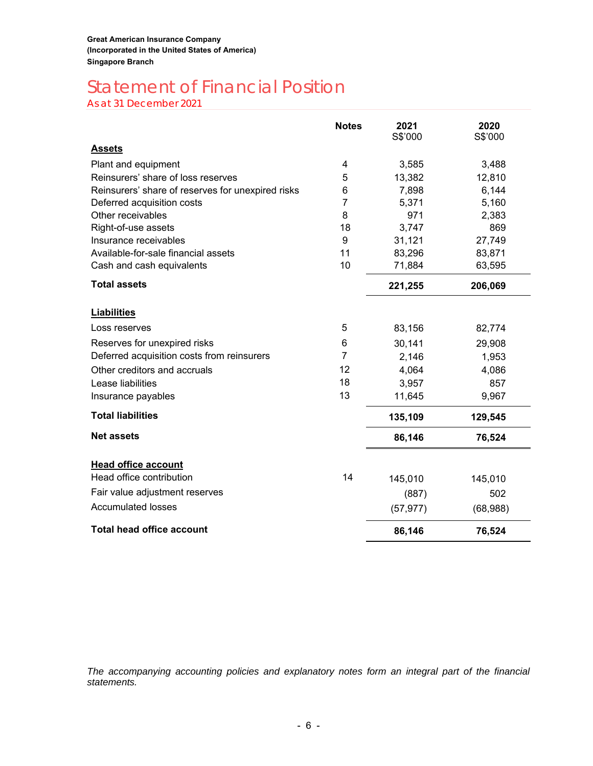# Statement of Financial Position

As at 31 December 2021

|                                                   | <b>Notes</b>   | 2021<br>S\$'000 | 2020<br>S\$'000 |
|---------------------------------------------------|----------------|-----------------|-----------------|
| <b>Assets</b>                                     |                |                 |                 |
| Plant and equipment                               | 4              | 3,585           | 3,488           |
| Reinsurers' share of loss reserves                | 5              | 13,382          | 12,810          |
| Reinsurers' share of reserves for unexpired risks | 6              | 7,898           | 6,144           |
| Deferred acquisition costs                        | 7              | 5,371           | 5,160           |
| Other receivables                                 | 8              | 971             | 2,383           |
| Right-of-use assets                               | 18             | 3,747           | 869             |
| Insurance receivables                             | 9              | 31,121          | 27,749          |
| Available-for-sale financial assets               | 11             | 83,296          | 83,871          |
| Cash and cash equivalents                         | 10             | 71,884          | 63,595          |
| <b>Total assets</b>                               |                | 221,255         | 206,069         |
| <b>Liabilities</b>                                |                |                 |                 |
| Loss reserves                                     | 5              | 83,156          | 82,774          |
| Reserves for unexpired risks                      | 6              | 30,141          | 29,908          |
| Deferred acquisition costs from reinsurers        | $\overline{7}$ | 2,146           | 1,953           |
| Other creditors and accruals                      | 12             | 4,064           | 4,086           |
| Lease liabilities                                 | 18             | 3,957           | 857             |
| Insurance payables                                | 13             | 11,645          | 9,967           |
| <b>Total liabilities</b>                          |                | 135,109         | 129,545         |
| <b>Net assets</b>                                 |                | 86,146          | 76,524          |
| <b>Head office account</b>                        |                |                 |                 |
| Head office contribution                          | 14             | 145,010         | 145,010         |
| Fair value adjustment reserves                    |                | (887)           | 502             |
| <b>Accumulated losses</b>                         |                | (57, 977)       | (68,988)        |
| <b>Total head office account</b>                  |                | 86,146          | 76,524          |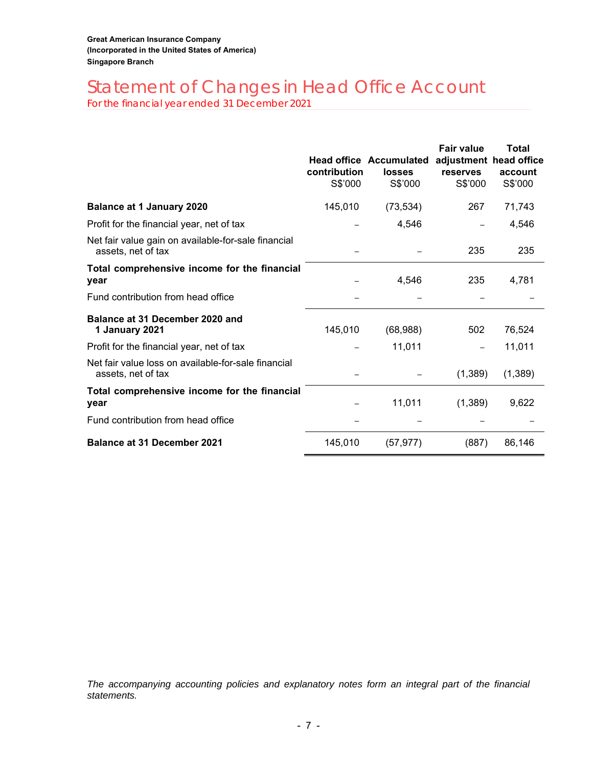# Statement of Changes in Head Office Account

For the financial year ended 31 December 2021

|                                                                           | contribution<br>S\$'000 | <b>Head office Accumulated</b><br>losses<br>S\$'000 | <b>Fair value</b><br>adjustment head office<br>reserves<br>S\$'000 | Total<br>account<br>S\$'000 |
|---------------------------------------------------------------------------|-------------------------|-----------------------------------------------------|--------------------------------------------------------------------|-----------------------------|
| <b>Balance at 1 January 2020</b>                                          | 145,010                 | (73, 534)                                           | 267                                                                | 71,743                      |
| Profit for the financial year, net of tax                                 |                         | 4,546                                               |                                                                    | 4,546                       |
| Net fair value gain on available-for-sale financial<br>assets, net of tax |                         |                                                     | 235                                                                | 235                         |
| Total comprehensive income for the financial<br>year                      |                         | 4,546                                               | 235                                                                | 4,781                       |
| Fund contribution from head office                                        |                         |                                                     |                                                                    |                             |
| Balance at 31 December 2020 and<br>1 January 2021                         | 145,010                 | (68,988)                                            | 502                                                                | 76,524                      |
| Profit for the financial year, net of tax                                 |                         | 11,011                                              |                                                                    | 11,011                      |
| Net fair value loss on available-for-sale financial<br>assets, net of tax |                         |                                                     | (1,389)                                                            | (1,389)                     |
| Total comprehensive income for the financial<br>year                      |                         | 11,011                                              | (1, 389)                                                           | 9,622                       |
| Fund contribution from head office                                        |                         |                                                     |                                                                    |                             |
| <b>Balance at 31 December 2021</b>                                        | 145,010                 | (57, 977)                                           | (887)                                                              | 86,146                      |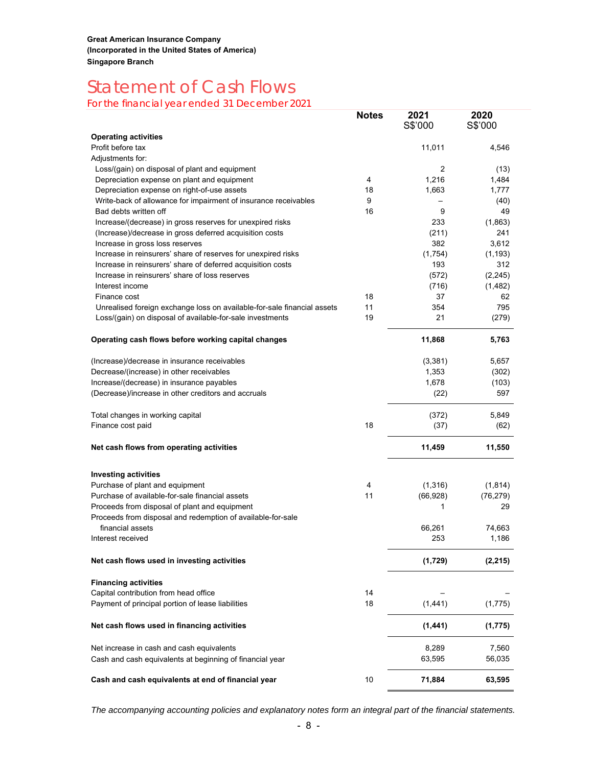# Statement of Cash Flows<br>For the financial year ended 31 December 2021

|                                                                         | <b>Notes</b> | 2021<br>S\$'000 | 2020<br>S\$'000 |
|-------------------------------------------------------------------------|--------------|-----------------|-----------------|
| <b>Operating activities</b>                                             |              |                 |                 |
| Profit before tax                                                       |              | 11,011          | 4,546           |
| Adjustments for:                                                        |              |                 |                 |
| Loss/(gain) on disposal of plant and equipment                          |              | 2               | (13)            |
| Depreciation expense on plant and equipment                             | 4            | 1,216           | 1,484           |
| Depreciation expense on right-of-use assets                             | 18           | 1,663           | 1,777           |
| Write-back of allowance for impairment of insurance receivables         | 9            |                 | (40)            |
| Bad debts written off                                                   | 16           | 9               | 49              |
| Increase/(decrease) in gross reserves for unexpired risks               |              | 233             | (1,863)         |
| (Increase)/decrease in gross deferred acquisition costs                 |              | (211)           | 241             |
| Increase in gross loss reserves                                         |              | 382             | 3,612           |
| Increase in reinsurers' share of reserves for unexpired risks           |              | (1,754)         | (1, 193)        |
| Increase in reinsurers' share of deferred acquisition costs             |              | 193             | 312             |
| Increase in reinsurers' share of loss reserves                          |              | (572)           | (2, 245)        |
| Interest income                                                         |              | (716)           | (1,482)         |
| Finance cost                                                            | 18           | 37              | 62              |
| Unrealised foreign exchange loss on available-for-sale financial assets | 11           | 354             | 795             |
| Loss/(gain) on disposal of available-for-sale investments               | 19           | 21              | (279)           |
| Operating cash flows before working capital changes                     |              | 11,868          | 5,763           |
| (Increase)/decrease in insurance receivables                            |              | (3,381)         | 5,657           |
| Decrease/(increase) in other receivables                                |              | 1,353           | (302)           |
| Increase/(decrease) in insurance payables                               |              | 1,678           | (103)           |
| (Decrease)/increase in other creditors and accruals                     |              | (22)            | 597             |
| Total changes in working capital                                        |              | (372)           | 5,849           |
| Finance cost paid                                                       | 18           | (37)            | (62)            |
| Net cash flows from operating activities                                |              | 11,459          | 11,550          |
| <b>Investing activities</b>                                             |              |                 |                 |
| Purchase of plant and equipment                                         | 4            | (1,316)         | (1, 814)        |
| Purchase of available-for-sale financial assets                         | 11           | (66, 928)       | (76, 279)       |
| Proceeds from disposal of plant and equipment                           |              | 1               | 29              |
| Proceeds from disposal and redemption of available-for-sale             |              |                 |                 |
| financial assets                                                        |              | 66,261          | 74,663          |
| Interest received                                                       |              | 253             | 1,186           |
| Net cash flows used in investing activities                             |              | (1,729)         | (2, 215)        |
| <b>Financing activities</b>                                             |              |                 |                 |
| Capital contribution from head office                                   | 14           |                 |                 |
| Payment of principal portion of lease liabilities                       | 18           | (1, 441)        | (1,775)         |
| Net cash flows used in financing activities                             |              | (1, 441)        | (1,775)         |
| Net increase in cash and cash equivalents                               |              | 8,289           | 7,560           |
| Cash and cash equivalents at beginning of financial year                |              | 63,595          | 56,035          |
| Cash and cash equivalents at end of financial year                      | 10           | 71,884          | 63,595          |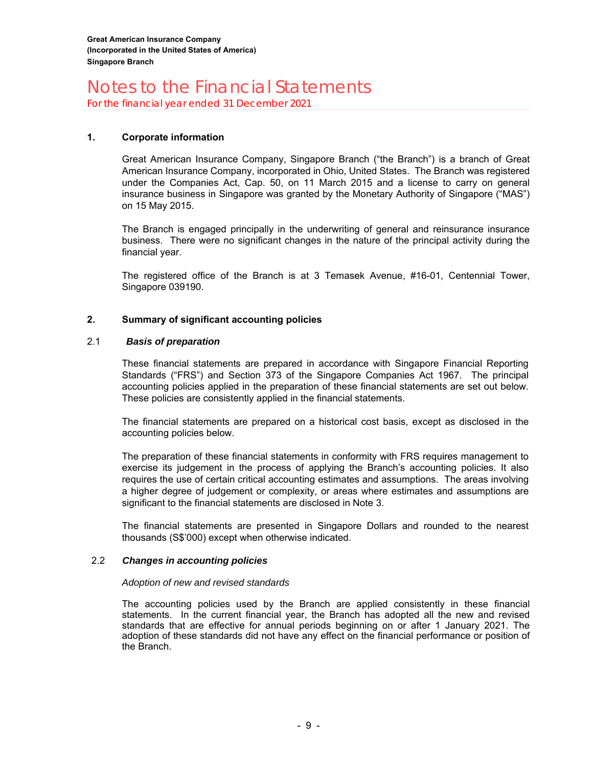For the financial year ended 31 December 2021

#### **1. Corporate information**

Great American Insurance Company, Singapore Branch ("the Branch") is a branch of Great American Insurance Company, incorporated in Ohio, United States. The Branch was registered under the Companies Act, Cap. 50, on 11 March 2015 and a license to carry on general insurance business in Singapore was granted by the Monetary Authority of Singapore ("MAS") on 15 May 2015.

The Branch is engaged principally in the underwriting of general and reinsurance insurance business. There were no significant changes in the nature of the principal activity during the financial year.

The registered office of the Branch is at 3 Temasek Avenue, #16-01, Centennial Tower, Singapore 039190.

#### **2. Summary of significant accounting policies**

#### 2.1 *Basis of preparation*

These financial statements are prepared in accordance with Singapore Financial Reporting Standards ("FRS") and Section 373 of the Singapore Companies Act 1967. The principal accounting policies applied in the preparation of these financial statements are set out below. These policies are consistently applied in the financial statements.

The financial statements are prepared on a historical cost basis, except as disclosed in the accounting policies below.

The preparation of these financial statements in conformity with FRS requires management to exercise its judgement in the process of applying the Branch's accounting policies. It also requires the use of certain critical accounting estimates and assumptions. The areas involving a higher degree of judgement or complexity, or areas where estimates and assumptions are significant to the financial statements are disclosed in Note 3.

The financial statements are presented in Singapore Dollars and rounded to the nearest thousands (S\$'000) except when otherwise indicated.

#### 2.2 *Changes in accounting policies*

#### *Adoption of new and revised standards*

The accounting policies used by the Branch are applied consistently in these financial statements. In the current financial year, the Branch has adopted all the new and revised standards that are effective for annual periods beginning on or after 1 January 2021. The adoption of these standards did not have any effect on the financial performance or position of the Branch.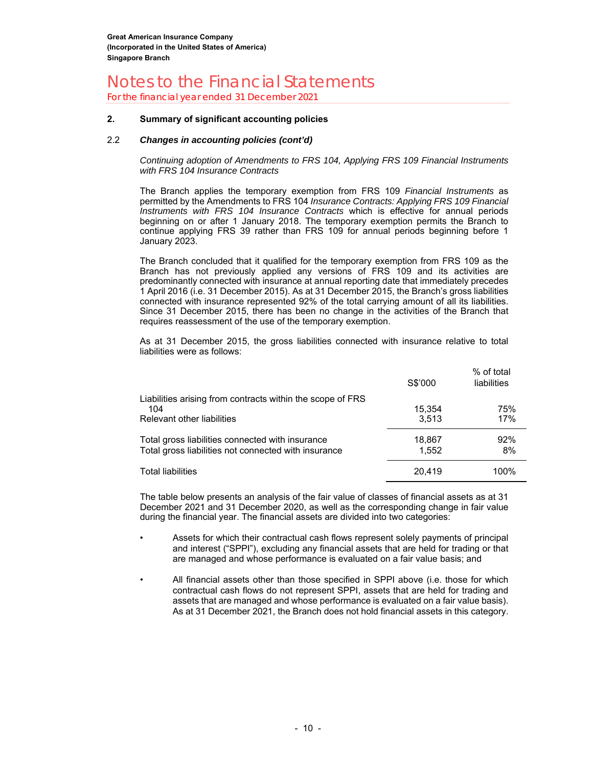For the financial year ended 31 December 2021

#### **2. Summary of significant accounting policies**

#### 2.2 *Changes in accounting policies (cont'd)*

*Continuing adoption of Amendments to FRS 104, Applying FRS 109 Financial Instruments with FRS 104 Insurance Contracts* 

The Branch applies the temporary exemption from FRS 109 *Financial Instruments* as permitted by the Amendments to FRS 104 *Insurance Contracts: Applying FRS 109 Financial Instruments with FRS 104 Insurance Contracts* which is effective for annual periods beginning on or after 1 January 2018. The temporary exemption permits the Branch to continue applying FRS 39 rather than FRS 109 for annual periods beginning before 1 January 2023.

The Branch concluded that it qualified for the temporary exemption from FRS 109 as the Branch has not previously applied any versions of FRS 109 and its activities are predominantly connected with insurance at annual reporting date that immediately precedes 1 April 2016 (i.e. 31 December 2015). As at 31 December 2015, the Branch's gross liabilities connected with insurance represented 92% of the total carrying amount of all its liabilities. Since 31 December 2015, there has been no change in the activities of the Branch that requires reassessment of the use of the temporary exemption.

As at 31 December 2015, the gross liabilities connected with insurance relative to total liabilities were as follows:

|                                                                                                          | S\$'000         | % of total<br>liabilities |
|----------------------------------------------------------------------------------------------------------|-----------------|---------------------------|
| Liabilities arising from contracts within the scope of FRS<br>104<br>Relevant other liabilities          | 15,354<br>3.513 | 75%<br>17%                |
| Total gross liabilities connected with insurance<br>Total gross liabilities not connected with insurance | 18,867<br>1.552 | 92%<br>8%                 |
| <b>Total liabilities</b>                                                                                 | 20.419          | 100%                      |

The table below presents an analysis of the fair value of classes of financial assets as at 31 December 2021 and 31 December 2020, as well as the corresponding change in fair value during the financial year. The financial assets are divided into two categories:

- Assets for which their contractual cash flows represent solely payments of principal and interest ("SPPI"), excluding any financial assets that are held for trading or that are managed and whose performance is evaluated on a fair value basis; and
- All financial assets other than those specified in SPPI above (i.e. those for which contractual cash flows do not represent SPPI, assets that are held for trading and assets that are managed and whose performance is evaluated on a fair value basis). As at 31 December 2021, the Branch does not hold financial assets in this category.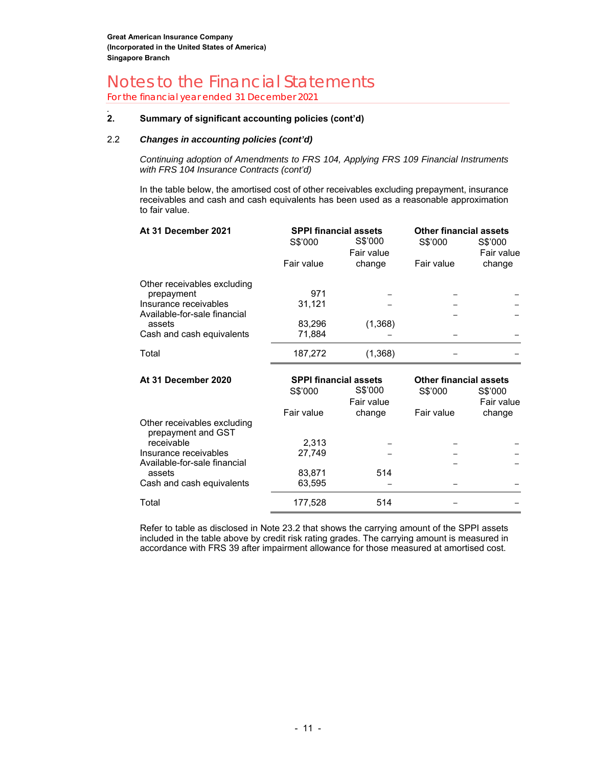For the financial year ended 31 December 2021

#### *.*  **2. Summary of significant accounting policies (cont'd)**

#### 2.2 *Changes in accounting policies (cont'd)*

*Continuing adoption of Amendments to FRS 104, Applying FRS 109 Financial Instruments with FRS 104 Insurance Contracts (cont'd)* 

In the table below, the amortised cost of other receivables excluding prepayment, insurance receivables and cash and cash equivalents has been used as a reasonable approximation to fair value.

| At 31 December 2021                                   | <b>SPPI financial assets</b> |            | <b>Other financial assets</b> |            |  |
|-------------------------------------------------------|------------------------------|------------|-------------------------------|------------|--|
|                                                       | S\$'000                      | S\$'000    | S\$'000                       | S\$'000    |  |
|                                                       |                              | Fair value |                               | Fair value |  |
|                                                       | Fair value                   | change     | Fair value                    | change     |  |
| Other receivables excluding                           |                              |            |                               |            |  |
| prepayment                                            | 971                          |            |                               |            |  |
| Insurance receivables<br>Available-for-sale financial | 31,121                       |            |                               |            |  |
| assets                                                | 83,296                       | (1,368)    |                               |            |  |
| Cash and cash equivalents                             | 71,884                       |            |                               |            |  |
| Total                                                 | 187,272                      | (1,368)    |                               |            |  |
| At 31 December 2020                                   | <b>SPPI financial assets</b> |            | <b>Other financial assets</b> |            |  |
|                                                       | S\$'000                      | S\$'000    | S\$'000                       | S\$'000    |  |
|                                                       |                              | Fair value |                               | Fair value |  |
|                                                       | Fair value                   | change     | Fair value                    | change     |  |
| Other receivables excluding<br>prepayment and GST     |                              |            |                               |            |  |
| receivable                                            | 2,313                        |            |                               |            |  |
| Insurance receivables<br>Available-for-sale financial | 27,749                       |            |                               |            |  |
|                                                       |                              |            |                               |            |  |
| assets                                                | 83,871                       | 514        |                               |            |  |

Refer to table as disclosed in Note 23.2 that shows the carrying amount of the SPPI assets included in the table above by credit risk rating grades. The carrying amount is measured in accordance with FRS 39 after impairment allowance for those measured at amortised cost.

Total 177,528 514 – –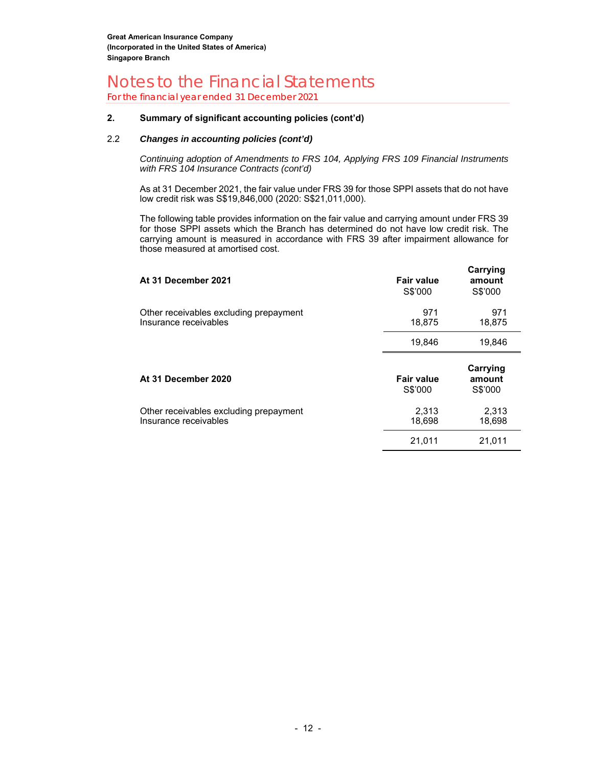For the financial year ended 31 December 2021

#### **2. Summary of significant accounting policies (cont'd)**

#### 2.2 *Changes in accounting policies (cont'd)*

*Continuing adoption of Amendments to FRS 104, Applying FRS 109 Financial Instruments with FRS 104 Insurance Contracts (cont'd)* 

As at 31 December 2021, the fair value under FRS 39 for those SPPI assets that do not have low credit risk was S\$19,846,000 (2020: S\$21,011,000).

The following table provides information on the fair value and carrying amount under FRS 39 for those SPPI assets which the Branch has determined do not have low credit risk. The carrying amount is measured in accordance with FRS 39 after impairment allowance for those measured at amortised cost.

| At 31 December 2021                                             | Fair value<br>S\$'000        | Carrying<br>amount<br>S\$'000 |
|-----------------------------------------------------------------|------------------------------|-------------------------------|
| Other receivables excluding prepayment<br>Insurance receivables | 971<br>18,875                | 971<br>18,875                 |
|                                                                 | 19,846                       | 19,846                        |
| At 31 December 2020                                             | <b>Fair value</b><br>S\$'000 | Carrying<br>amount<br>S\$'000 |
| Other receivables excluding prepayment<br>Insurance receivables | 2,313<br>18,698              | 2,313<br>18,698               |
|                                                                 | 21,011                       | 21.011                        |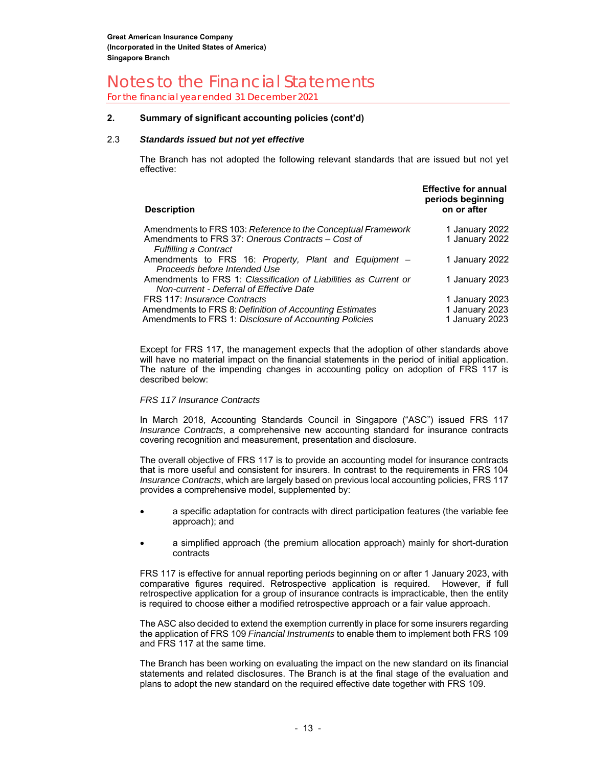For the financial year ended 31 December 2021

#### **2. Summary of significant accounting policies (cont'd)**

#### 2.3 *Standards issued but not yet effective*

The Branch has not adopted the following relevant standards that are issued but not yet effective:

| <b>Description</b>                                                                                                                                | <b>Effective for annual</b><br>periods beginning<br>on or after |
|---------------------------------------------------------------------------------------------------------------------------------------------------|-----------------------------------------------------------------|
| Amendments to FRS 103: Reference to the Conceptual Framework<br>Amendments to FRS 37: Onerous Contracts - Cost of<br><b>Fulfilling a Contract</b> | 1 January 2022<br>1 January 2022                                |
| Amendments to FRS 16: Property, Plant and Equipment –<br>Proceeds before Intended Use                                                             | 1 January 2022                                                  |
| Amendments to FRS 1: Classification of Liabilities as Current or<br>Non-current - Deferral of Effective Date                                      | 1 January 2023                                                  |
| FRS 117: Insurance Contracts                                                                                                                      | 1 January 2023                                                  |
| Amendments to FRS 8: Definition of Accounting Estimates                                                                                           | 1 January 2023                                                  |
| Amendments to FRS 1: Disclosure of Accounting Policies                                                                                            | 1 January 2023                                                  |

Except for FRS 117, the management expects that the adoption of other standards above will have no material impact on the financial statements in the period of initial application. The nature of the impending changes in accounting policy on adoption of FRS 117 is described below:

#### *FRS 117 Insurance Contracts*

In March 2018, Accounting Standards Council in Singapore ("ASC") issued FRS 117 *Insurance Contracts*, a comprehensive new accounting standard for insurance contracts covering recognition and measurement, presentation and disclosure.

The overall objective of FRS 117 is to provide an accounting model for insurance contracts that is more useful and consistent for insurers. In contrast to the requirements in FRS 104 *Insurance Contracts*, which are largely based on previous local accounting policies, FRS 117 provides a comprehensive model, supplemented by:

- a specific adaptation for contracts with direct participation features (the variable fee approach); and
- a simplified approach (the premium allocation approach) mainly for short-duration contracts

FRS 117 is effective for annual reporting periods beginning on or after 1 January 2023, with comparative figures required. Retrospective application is required. However, if full retrospective application for a group of insurance contracts is impracticable, then the entity is required to choose either a modified retrospective approach or a fair value approach.

The ASC also decided to extend the exemption currently in place for some insurers regarding the application of FRS 109 *Financial Instruments* to enable them to implement both FRS 109 and FRS 117 at the same time.

The Branch has been working on evaluating the impact on the new standard on its financial statements and related disclosures. The Branch is at the final stage of the evaluation and plans to adopt the new standard on the required effective date together with FRS 109.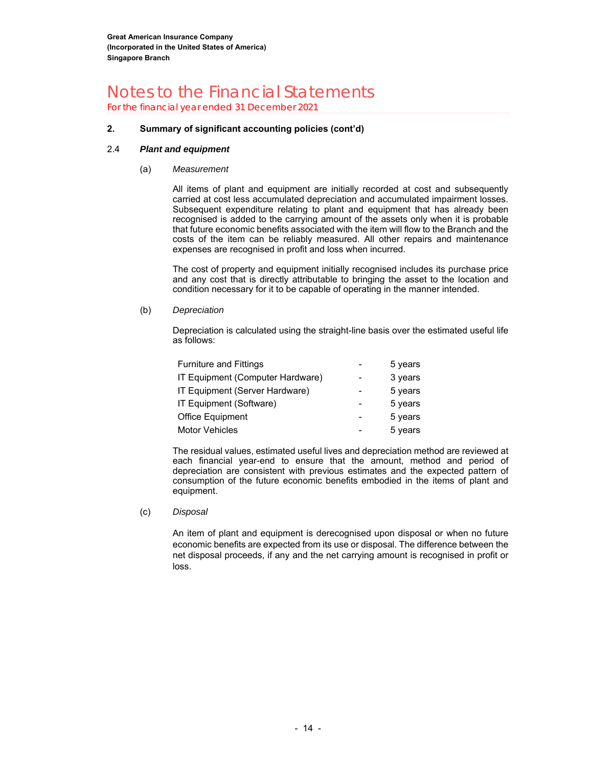### Notes to the Financial Statements For the financial year ended 31 December 2021

#### **2. Summary of significant accounting policies (cont'd)**

#### 2.4 *Plant and equipment*

#### (a) *Measurement*

All items of plant and equipment are initially recorded at cost and subsequently carried at cost less accumulated depreciation and accumulated impairment losses. Subsequent expenditure relating to plant and equipment that has already been recognised is added to the carrying amount of the assets only when it is probable that future economic benefits associated with the item will flow to the Branch and the costs of the item can be reliably measured. All other repairs and maintenance expenses are recognised in profit and loss when incurred.

The cost of property and equipment initially recognised includes its purchase price and any cost that is directly attributable to bringing the asset to the location and condition necessary for it to be capable of operating in the manner intended.

(b) *Depreciation* 

Depreciation is calculated using the straight-line basis over the estimated useful life as follows:

| <b>Furniture and Fittings</b>    | 5 years |
|----------------------------------|---------|
| IT Equipment (Computer Hardware) | 3 years |
| IT Equipment (Server Hardware)   | 5 years |
| IT Equipment (Software)          | 5 years |
| Office Equipment                 | 5 years |
| <b>Motor Vehicles</b>            | 5 years |

The residual values, estimated useful lives and depreciation method are reviewed at each financial year-end to ensure that the amount, method and period of depreciation are consistent with previous estimates and the expected pattern of consumption of the future economic benefits embodied in the items of plant and equipment.

(c) *Disposal* 

An item of plant and equipment is derecognised upon disposal or when no future economic benefits are expected from its use or disposal. The difference between the net disposal proceeds, if any and the net carrying amount is recognised in profit or loss.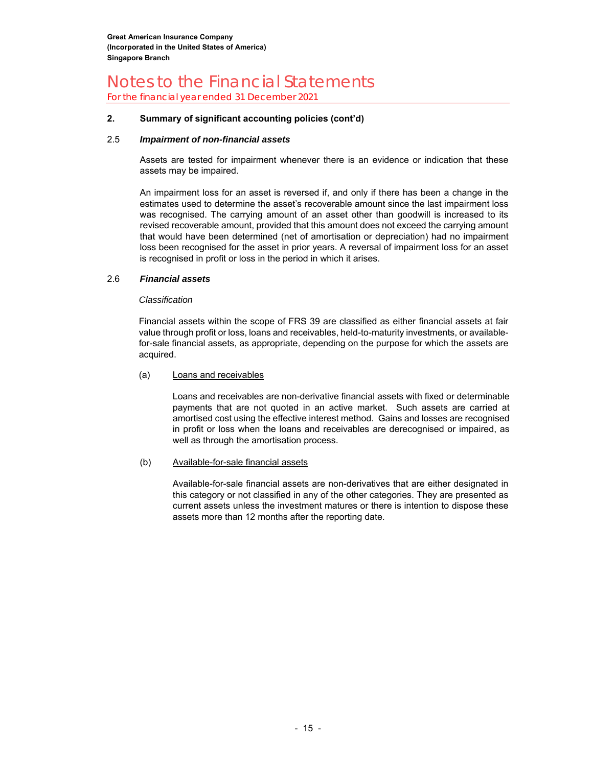For the financial year ended 31 December 2021

#### **2. Summary of significant accounting policies (cont'd)**

#### 2.5 *Impairment of non-financial assets*

Assets are tested for impairment whenever there is an evidence or indication that these assets may be impaired.

An impairment loss for an asset is reversed if, and only if there has been a change in the estimates used to determine the asset's recoverable amount since the last impairment loss was recognised. The carrying amount of an asset other than goodwill is increased to its revised recoverable amount, provided that this amount does not exceed the carrying amount that would have been determined (net of amortisation or depreciation) had no impairment loss been recognised for the asset in prior years. A reversal of impairment loss for an asset is recognised in profit or loss in the period in which it arises.

#### 2.6 *Financial assets*

#### *Classification*

Financial assets within the scope of FRS 39 are classified as either financial assets at fair value through profit or loss, loans and receivables, held-to-maturity investments, or availablefor-sale financial assets, as appropriate, depending on the purpose for which the assets are acquired.

#### (a)Loans and receivables

Loans and receivables are non-derivative financial assets with fixed or determinable payments that are not quoted in an active market. Such assets are carried at amortised cost using the effective interest method. Gains and losses are recognised in profit or loss when the loans and receivables are derecognised or impaired, as well as through the amortisation process.

#### (b)Available-for-sale financial assets

Available-for-sale financial assets are non-derivatives that are either designated in this category or not classified in any of the other categories. They are presented as current assets unless the investment matures or there is intention to dispose these assets more than 12 months after the reporting date.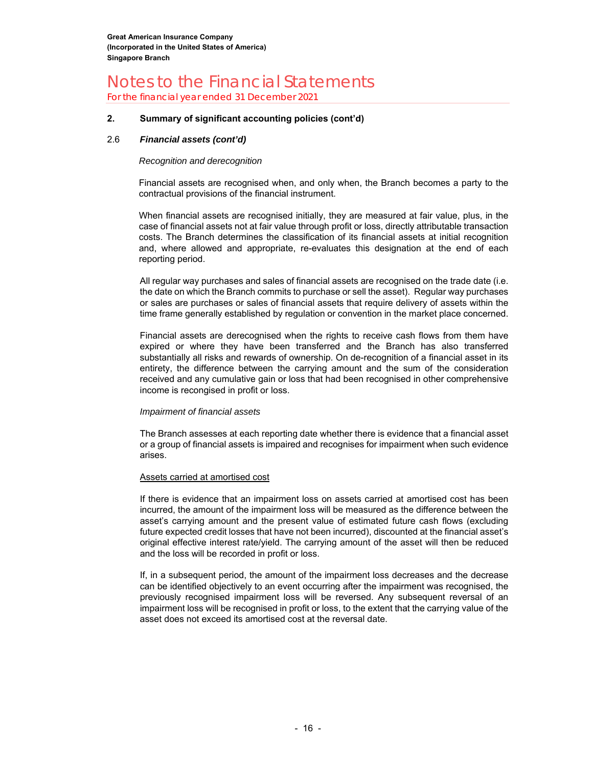For the financial year ended 31 December 2021

#### **2. Summary of significant accounting policies (cont'd)**

#### 2.6 *Financial assets (cont'd)*

#### *Recognition and derecognition*

Financial assets are recognised when, and only when, the Branch becomes a party to the contractual provisions of the financial instrument.

When financial assets are recognised initially, they are measured at fair value, plus, in the case of financial assets not at fair value through profit or loss, directly attributable transaction costs. The Branch determines the classification of its financial assets at initial recognition and, where allowed and appropriate, re-evaluates this designation at the end of each reporting period.

All regular way purchases and sales of financial assets are recognised on the trade date (i.e. the date on which the Branch commits to purchase or sell the asset). Regular way purchases or sales are purchases or sales of financial assets that require delivery of assets within the time frame generally established by regulation or convention in the market place concerned.

Financial assets are derecognised when the rights to receive cash flows from them have expired or where they have been transferred and the Branch has also transferred substantially all risks and rewards of ownership. On de-recognition of a financial asset in its entirety, the difference between the carrying amount and the sum of the consideration received and any cumulative gain or loss that had been recognised in other comprehensive income is recongised in profit or loss.

#### *Impairment of financial assets*

The Branch assesses at each reporting date whether there is evidence that a financial asset or a group of financial assets is impaired and recognises for impairment when such evidence arises.

#### Assets carried at amortised cost

If there is evidence that an impairment loss on assets carried at amortised cost has been incurred, the amount of the impairment loss will be measured as the difference between the asset's carrying amount and the present value of estimated future cash flows (excluding future expected credit losses that have not been incurred), discounted at the financial asset's original effective interest rate/yield. The carrying amount of the asset will then be reduced and the loss will be recorded in profit or loss.

If, in a subsequent period, the amount of the impairment loss decreases and the decrease can be identified objectively to an event occurring after the impairment was recognised, the previously recognised impairment loss will be reversed. Any subsequent reversal of an impairment loss will be recognised in profit or loss, to the extent that the carrying value of the asset does not exceed its amortised cost at the reversal date.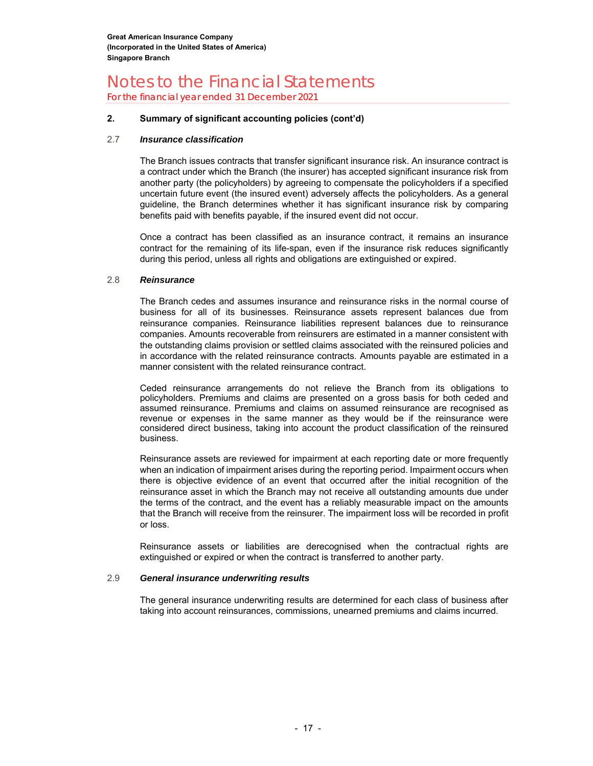For the financial year ended 31 December 2021

#### **2. Summary of significant accounting policies (cont'd)**

#### 2.7 *Insurance classification*

The Branch issues contracts that transfer significant insurance risk. An insurance contract is a contract under which the Branch (the insurer) has accepted significant insurance risk from another party (the policyholders) by agreeing to compensate the policyholders if a specified uncertain future event (the insured event) adversely affects the policyholders. As a general guideline, the Branch determines whether it has significant insurance risk by comparing benefits paid with benefits payable, if the insured event did not occur.

Once a contract has been classified as an insurance contract, it remains an insurance contract for the remaining of its life-span, even if the insurance risk reduces significantly during this period, unless all rights and obligations are extinguished or expired.

#### 2.8 *Reinsurance*

The Branch cedes and assumes insurance and reinsurance risks in the normal course of business for all of its businesses. Reinsurance assets represent balances due from reinsurance companies. Reinsurance liabilities represent balances due to reinsurance companies. Amounts recoverable from reinsurers are estimated in a manner consistent with the outstanding claims provision or settled claims associated with the reinsured policies and in accordance with the related reinsurance contracts. Amounts payable are estimated in a manner consistent with the related reinsurance contract.

Ceded reinsurance arrangements do not relieve the Branch from its obligations to policyholders. Premiums and claims are presented on a gross basis for both ceded and assumed reinsurance. Premiums and claims on assumed reinsurance are recognised as revenue or expenses in the same manner as they would be if the reinsurance were considered direct business, taking into account the product classification of the reinsured business.

Reinsurance assets are reviewed for impairment at each reporting date or more frequently when an indication of impairment arises during the reporting period. Impairment occurs when there is objective evidence of an event that occurred after the initial recognition of the reinsurance asset in which the Branch may not receive all outstanding amounts due under the terms of the contract, and the event has a reliably measurable impact on the amounts that the Branch will receive from the reinsurer. The impairment loss will be recorded in profit or loss.

Reinsurance assets or liabilities are derecognised when the contractual rights are extinguished or expired or when the contract is transferred to another party.

#### 2.9 *General insurance underwriting results*

The general insurance underwriting results are determined for each class of business after taking into account reinsurances, commissions, unearned premiums and claims incurred.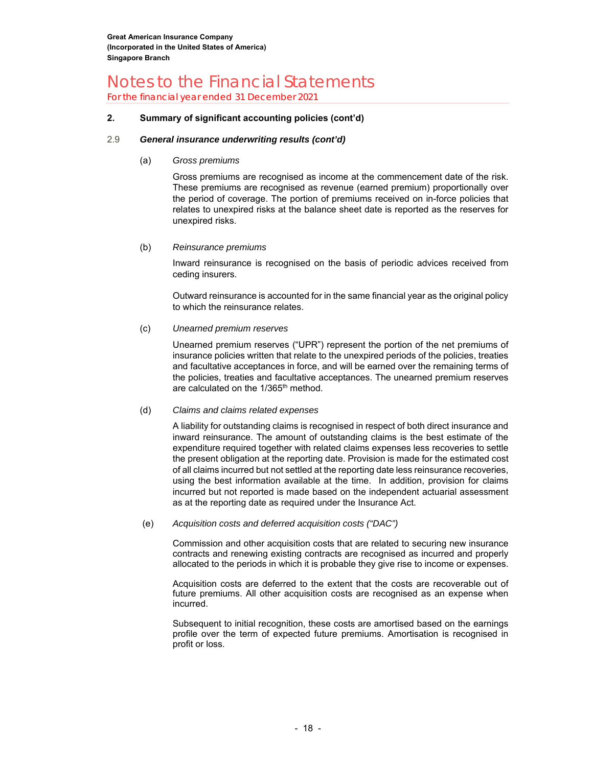For the financial year ended 31 December 2021

#### **2. Summary of significant accounting policies (cont'd)**

#### 2.9 *General insurance underwriting results (cont'd)*

(a) *Gross premiums* 

Gross premiums are recognised as income at the commencement date of the risk. These premiums are recognised as revenue (earned premium) proportionally over the period of coverage. The portion of premiums received on in-force policies that relates to unexpired risks at the balance sheet date is reported as the reserves for unexpired risks.

#### (b) *Reinsurance premiums*

Inward reinsurance is recognised on the basis of periodic advices received from ceding insurers.

Outward reinsurance is accounted for in the same financial year as the original policy to which the reinsurance relates.

#### (c) *Unearned premium reserves*

Unearned premium reserves ("UPR") represent the portion of the net premiums of insurance policies written that relate to the unexpired periods of the policies, treaties and facultative acceptances in force, and will be earned over the remaining terms of the policies, treaties and facultative acceptances. The unearned premium reserves are calculated on the 1/365<sup>th</sup> method.

#### (d) *Claims and claims related expenses*

A liability for outstanding claims is recognised in respect of both direct insurance and inward reinsurance. The amount of outstanding claims is the best estimate of the expenditure required together with related claims expenses less recoveries to settle the present obligation at the reporting date. Provision is made for the estimated cost of all claims incurred but not settled at the reporting date less reinsurance recoveries, using the best information available at the time. In addition, provision for claims incurred but not reported is made based on the independent actuarial assessment as at the reporting date as required under the Insurance Act.

#### (e) *Acquisition costs and deferred acquisition costs ("DAC")*

Commission and other acquisition costs that are related to securing new insurance contracts and renewing existing contracts are recognised as incurred and properly allocated to the periods in which it is probable they give rise to income or expenses.

Acquisition costs are deferred to the extent that the costs are recoverable out of future premiums. All other acquisition costs are recognised as an expense when incurred.

Subsequent to initial recognition, these costs are amortised based on the earnings profile over the term of expected future premiums. Amortisation is recognised in profit or loss.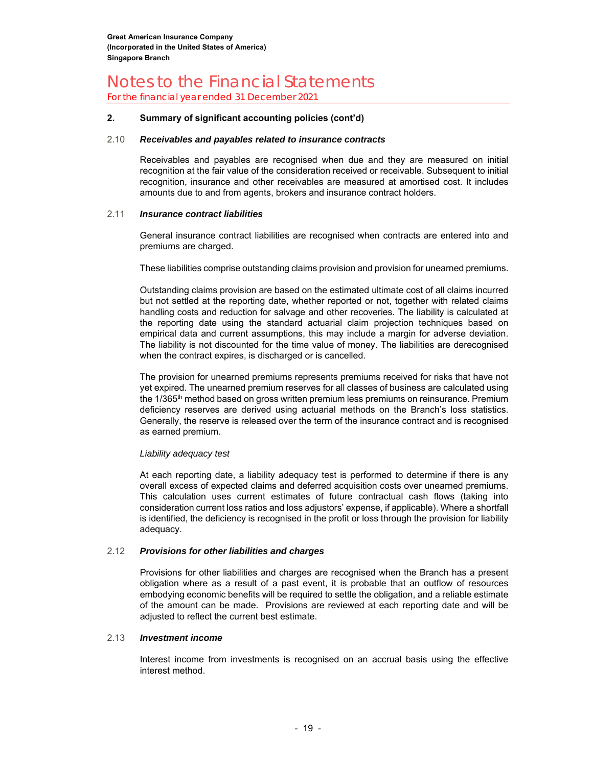For the financial year ended 31 December 2021

#### **2. Summary of significant accounting policies (cont'd)**

#### 2.10 *Receivables and payables related to insurance contracts*

Receivables and payables are recognised when due and they are measured on initial recognition at the fair value of the consideration received or receivable. Subsequent to initial recognition, insurance and other receivables are measured at amortised cost. It includes amounts due to and from agents, brokers and insurance contract holders.

#### 2.11 *Insurance contract liabilities*

General insurance contract liabilities are recognised when contracts are entered into and premiums are charged.

These liabilities comprise outstanding claims provision and provision for unearned premiums.

Outstanding claims provision are based on the estimated ultimate cost of all claims incurred but not settled at the reporting date, whether reported or not, together with related claims handling costs and reduction for salvage and other recoveries. The liability is calculated at the reporting date using the standard actuarial claim projection techniques based on empirical data and current assumptions, this may include a margin for adverse deviation. The liability is not discounted for the time value of money. The liabilities are derecognised when the contract expires, is discharged or is cancelled.

The provision for unearned premiums represents premiums received for risks that have not yet expired. The unearned premium reserves for all classes of business are calculated using the 1/365<sup>th</sup> method based on gross written premium less premiums on reinsurance. Premium deficiency reserves are derived using actuarial methods on the Branch's loss statistics. Generally, the reserve is released over the term of the insurance contract and is recognised as earned premium.

#### *Liability adequacy test*

At each reporting date, a liability adequacy test is performed to determine if there is any overall excess of expected claims and deferred acquisition costs over unearned premiums. This calculation uses current estimates of future contractual cash flows (taking into consideration current loss ratios and loss adjustors' expense, if applicable). Where a shortfall is identified, the deficiency is recognised in the profit or loss through the provision for liability adequacy.

#### 2.12 *Provisions for other liabilities and charges*

Provisions for other liabilities and charges are recognised when the Branch has a present obligation where as a result of a past event, it is probable that an outflow of resources embodying economic benefits will be required to settle the obligation, and a reliable estimate of the amount can be made. Provisions are reviewed at each reporting date and will be adjusted to reflect the current best estimate.

#### 2.13 *Investment income*

Interest income from investments is recognised on an accrual basis using the effective interest method.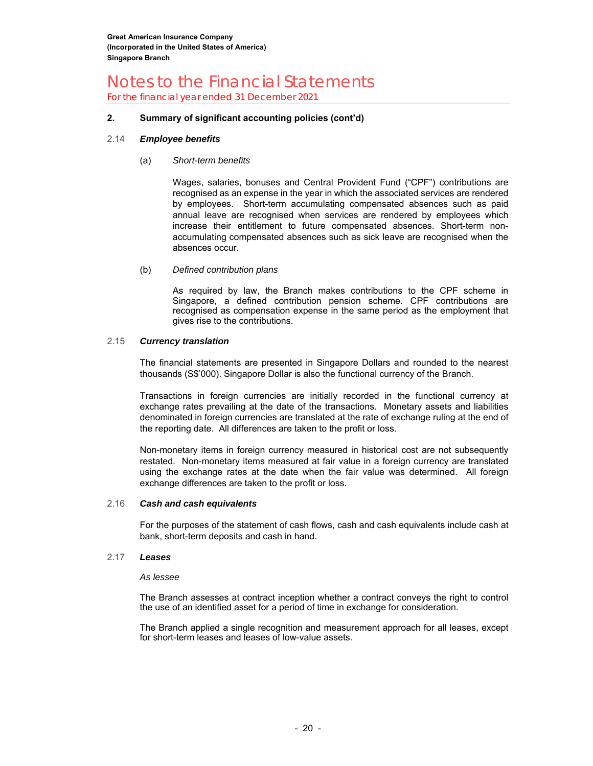For the financial year ended 31 December 2021

#### **2. Summary of significant accounting policies (cont'd)**

#### 2.14 *Employee benefits*

#### (a) *Short-term benefits*

Wages, salaries, bonuses and Central Provident Fund ("CPF") contributions are recognised as an expense in the year in which the associated services are rendered by employees. Short-term accumulating compensated absences such as paid annual leave are recognised when services are rendered by employees which increase their entitlement to future compensated absences. Short-term nonaccumulating compensated absences such as sick leave are recognised when the absences occur.

#### (b) *Defined contribution plans*

As required by law, the Branch makes contributions to the CPF scheme in Singapore, a defined contribution pension scheme. CPF contributions are recognised as compensation expense in the same period as the employment that gives rise to the contributions.

#### 2.15 *Currency translation*

The financial statements are presented in Singapore Dollars and rounded to the nearest thousands (S\$'000). Singapore Dollar is also the functional currency of the Branch.

Transactions in foreign currencies are initially recorded in the functional currency at exchange rates prevailing at the date of the transactions. Monetary assets and liabilities denominated in foreign currencies are translated at the rate of exchange ruling at the end of the reporting date. All differences are taken to the profit or loss.

Non-monetary items in foreign currency measured in historical cost are not subsequently restated. Non-monetary items measured at fair value in a foreign currency are translated using the exchange rates at the date when the fair value was determined. All foreign exchange differences are taken to the profit or loss.

#### 2.16 *Cash and cash equivalents*

For the purposes of the statement of cash flows, cash and cash equivalents include cash at bank, short-term deposits and cash in hand.

#### 2.17 *Leases*

#### *As lessee*

The Branch assesses at contract inception whether a contract conveys the right to control the use of an identified asset for a period of time in exchange for consideration.

The Branch applied a single recognition and measurement approach for all leases, except for short-term leases and leases of low-value assets.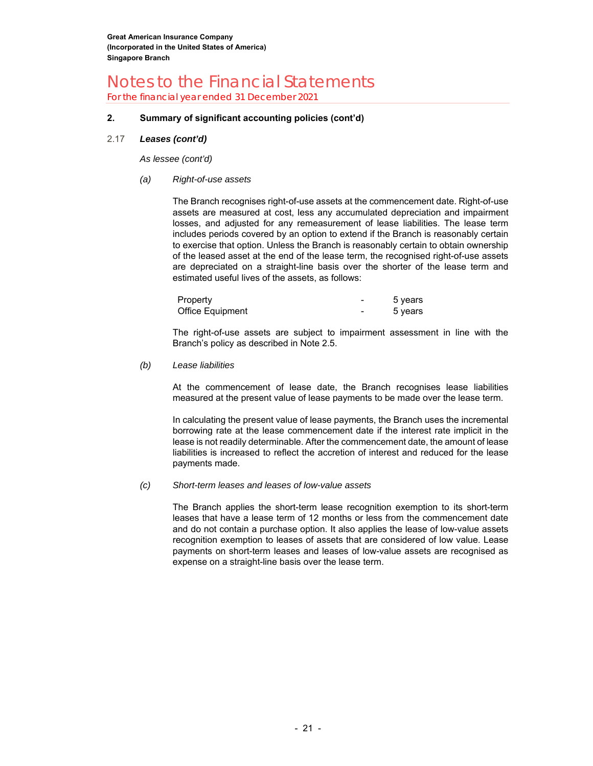For the financial year ended 31 December 2021

#### **2. Summary of significant accounting policies (cont'd)**

#### 2.17 *Leases (cont'd)*

*As lessee (cont'd)* 

*(a) Right-of-use assets* 

The Branch recognises right-of-use assets at the commencement date. Right-of-use assets are measured at cost, less any accumulated depreciation and impairment losses, and adjusted for any remeasurement of lease liabilities. The lease term includes periods covered by an option to extend if the Branch is reasonably certain to exercise that option. Unless the Branch is reasonably certain to obtain ownership of the leased asset at the end of the lease term, the recognised right-of-use assets are depreciated on a straight-line basis over the shorter of the lease term and estimated useful lives of the assets, as follows:

| Property         | 5 years |
|------------------|---------|
| Office Equipment | 5 vears |

The right-of-use assets are subject to impairment assessment in line with the Branch's policy as described in Note 2.5.

#### *(b) Lease liabilities*

At the commencement of lease date, the Branch recognises lease liabilities measured at the present value of lease payments to be made over the lease term.

In calculating the present value of lease payments, the Branch uses the incremental borrowing rate at the lease commencement date if the interest rate implicit in the lease is not readily determinable. After the commencement date, the amount of lease liabilities is increased to reflect the accretion of interest and reduced for the lease payments made.

#### *(c) Short-term leases and leases of low-value assets*

The Branch applies the short-term lease recognition exemption to its short-term leases that have a lease term of 12 months or less from the commencement date and do not contain a purchase option. It also applies the lease of low-value assets recognition exemption to leases of assets that are considered of low value. Lease payments on short-term leases and leases of low-value assets are recognised as expense on a straight-line basis over the lease term.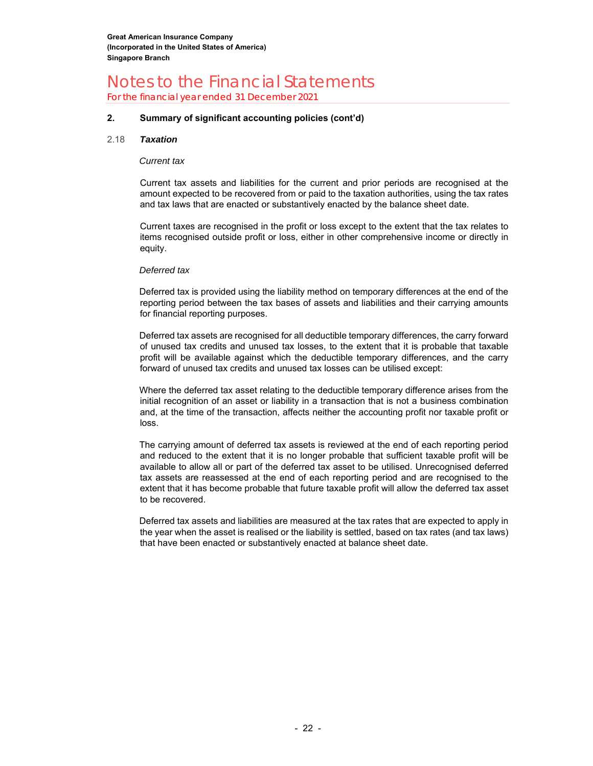For the financial year ended 31 December 2021

#### **2. Summary of significant accounting policies (cont'd)**

#### 2.18 *Taxation*

#### *Current tax*

Current tax assets and liabilities for the current and prior periods are recognised at the amount expected to be recovered from or paid to the taxation authorities, using the tax rates and tax laws that are enacted or substantively enacted by the balance sheet date.

Current taxes are recognised in the profit or loss except to the extent that the tax relates to items recognised outside profit or loss, either in other comprehensive income or directly in equity.

#### *Deferred tax*

Deferred tax is provided using the liability method on temporary differences at the end of the reporting period between the tax bases of assets and liabilities and their carrying amounts for financial reporting purposes.

Deferred tax assets are recognised for all deductible temporary differences, the carry forward of unused tax credits and unused tax losses, to the extent that it is probable that taxable profit will be available against which the deductible temporary differences, and the carry forward of unused tax credits and unused tax losses can be utilised except:

Where the deferred tax asset relating to the deductible temporary difference arises from the initial recognition of an asset or liability in a transaction that is not a business combination and, at the time of the transaction, affects neither the accounting profit nor taxable profit or loss.

The carrying amount of deferred tax assets is reviewed at the end of each reporting period and reduced to the extent that it is no longer probable that sufficient taxable profit will be available to allow all or part of the deferred tax asset to be utilised. Unrecognised deferred tax assets are reassessed at the end of each reporting period and are recognised to the extent that it has become probable that future taxable profit will allow the deferred tax asset to be recovered.

Deferred tax assets and liabilities are measured at the tax rates that are expected to apply in the year when the asset is realised or the liability is settled, based on tax rates (and tax laws) that have been enacted or substantively enacted at balance sheet date.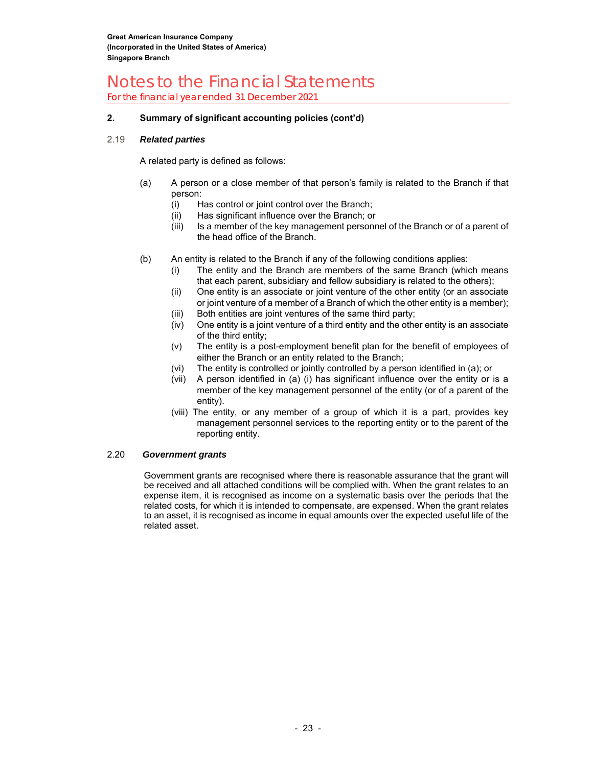For the financial year ended 31 December 2021

#### **2. Summary of significant accounting policies (cont'd)**

#### 2.19 *Related parties*

A related party is defined as follows:

- (a) A person or a close member of that person's family is related to the Branch if that person:
	- (i) Has control or joint control over the Branch;
	- (ii) Has significant influence over the Branch; or
	- (iii) Is a member of the key management personnel of the Branch or of a parent of the head office of the Branch.
- (b) An entity is related to the Branch if any of the following conditions applies:
	- The entity and the Branch are members of the same Branch (which means that each parent, subsidiary and fellow subsidiary is related to the others);
	- (ii) One entity is an associate or joint venture of the other entity (or an associate or joint venture of a member of a Branch of which the other entity is a member);
	- (iii) Both entities are joint ventures of the same third party;
	- (iv) One entity is a joint venture of a third entity and the other entity is an associate of the third entity;
	- (v) The entity is a post-employment benefit plan for the benefit of employees of either the Branch or an entity related to the Branch;
	- (vi) The entity is controlled or jointly controlled by a person identified in (a); or
	- (vii) A person identified in (a) (i) has significant influence over the entity or is a member of the key management personnel of the entity (or of a parent of the entity).
	- (viii) The entity, or any member of a group of which it is a part, provides key management personnel services to the reporting entity or to the parent of the reporting entity.

#### 2.20 *Government grants*

Government grants are recognised where there is reasonable assurance that the grant will be received and all attached conditions will be complied with. When the grant relates to an expense item, it is recognised as income on a systematic basis over the periods that the related costs, for which it is intended to compensate, are expensed. When the grant relates to an asset, it is recognised as income in equal amounts over the expected useful life of the related asset.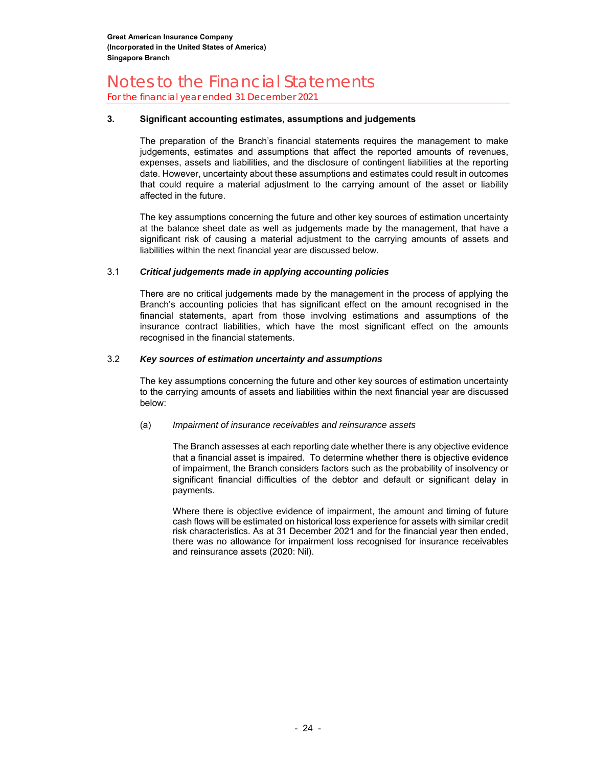For the financial year ended 31 December 2021

#### **3. Significant accounting estimates, assumptions and judgements**

The preparation of the Branch's financial statements requires the management to make judgements, estimates and assumptions that affect the reported amounts of revenues, expenses, assets and liabilities, and the disclosure of contingent liabilities at the reporting date. However, uncertainty about these assumptions and estimates could result in outcomes that could require a material adjustment to the carrying amount of the asset or liability affected in the future.

The key assumptions concerning the future and other key sources of estimation uncertainty at the balance sheet date as well as judgements made by the management, that have a significant risk of causing a material adjustment to the carrying amounts of assets and liabilities within the next financial year are discussed below.

#### 3.1 *Critical judgements made in applying accounting policies*

There are no critical judgements made by the management in the process of applying the Branch's accounting policies that has significant effect on the amount recognised in the financial statements, apart from those involving estimations and assumptions of the insurance contract liabilities, which have the most significant effect on the amounts recognised in the financial statements.

#### 3.2 *Key sources of estimation uncertainty and assumptions*

The key assumptions concerning the future and other key sources of estimation uncertainty to the carrying amounts of assets and liabilities within the next financial year are discussed below:

#### (a) *Impairment of insurance receivables and reinsurance assets*

The Branch assesses at each reporting date whether there is any objective evidence that a financial asset is impaired. To determine whether there is objective evidence of impairment, the Branch considers factors such as the probability of insolvency or significant financial difficulties of the debtor and default or significant delay in payments.

Where there is objective evidence of impairment, the amount and timing of future cash flows will be estimated on historical loss experience for assets with similar credit risk characteristics. As at 31 December 2021 and for the financial year then ended, there was no allowance for impairment loss recognised for insurance receivables and reinsurance assets (2020: Nil).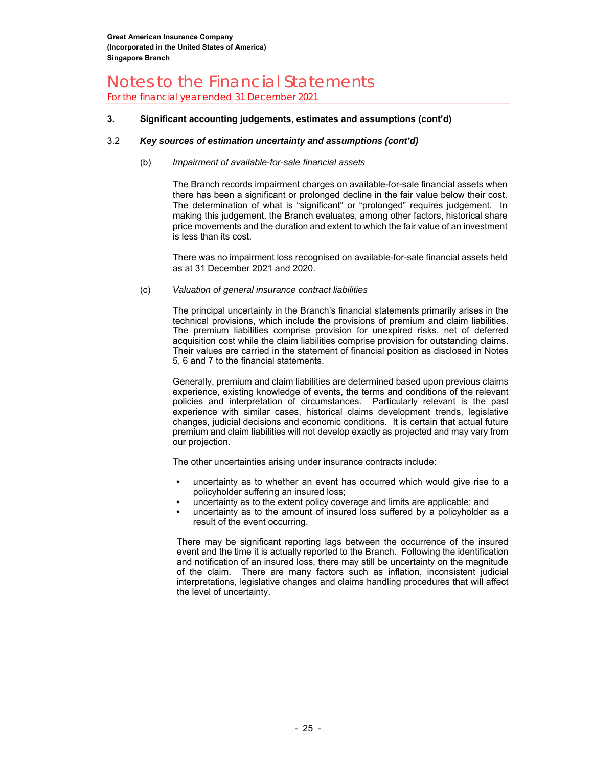For the financial year ended 31 December 2021

#### **3.****Significant accounting judgements, estimates and assumptions (cont'd)**

#### 3.2 *Key sources of estimation uncertainty and assumptions (cont'd)*

#### (b) *Impairment of available-for-sale financial assets*

The Branch records impairment charges on available-for-sale financial assets when there has been a significant or prolonged decline in the fair value below their cost. The determination of what is "significant" or "prolonged" requires judgement. In making this judgement, the Branch evaluates, among other factors, historical share price movements and the duration and extent to which the fair value of an investment is less than its cost.

There was no impairment loss recognised on available-for-sale financial assets held as at 31 December 2021 and 2020.

#### (c) *Valuation of general insurance contract liabilities*

The principal uncertainty in the Branch's financial statements primarily arises in the technical provisions, which include the provisions of premium and claim liabilities. The premium liabilities comprise provision for unexpired risks, net of deferred acquisition cost while the claim liabilities comprise provision for outstanding claims. Their values are carried in the statement of financial position as disclosed in Notes 5, 6 and 7 to the financial statements.

Generally, premium and claim liabilities are determined based upon previous claims experience, existing knowledge of events, the terms and conditions of the relevant policies and interpretation of circumstances. Particularly relevant is the past experience with similar cases, historical claims development trends, legislative changes, judicial decisions and economic conditions. It is certain that actual future premium and claim liabilities will not develop exactly as projected and may vary from our projection.

The other uncertainties arising under insurance contracts include:

- uncertainty as to whether an event has occurred which would give rise to a policyholder suffering an insured loss;
- uncertainty as to the extent policy coverage and limits are applicable; and
- uncertainty as to the amount of insured loss suffered by a policyholder as a result of the event occurring.

There may be significant reporting lags between the occurrence of the insured event and the time it is actually reported to the Branch. Following the identification and notification of an insured loss, there may still be uncertainty on the magnitude of the claim. There are many factors such as inflation, inconsistent judicial interpretations, legislative changes and claims handling procedures that will affect the level of uncertainty.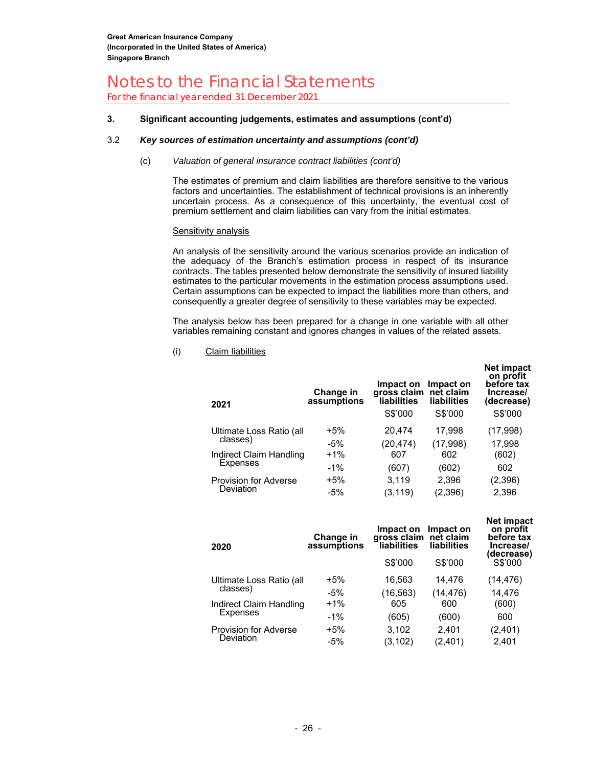For the financial year ended 31 December 2021

#### **3.****Significant accounting judgements, estimates and assumptions (cont'd)**

#### 3.2 *Key sources of estimation uncertainty and assumptions (cont'd)*

#### (c) *Valuation of general insurance contract liabilities (cont'd)*

The estimates of premium and claim liabilities are therefore sensitive to the various factors and uncertainties. The establishment of technical provisions is an inherently uncertain process. As a consequence of this uncertainty, the eventual cost of premium settlement and claim liabilities can vary from the initial estimates.

#### Sensitivity analysis

An analysis of the sensitivity around the various scenarios provide an indication of the adequacy of the Branch's estimation process in respect of its insurance contracts. The tables presented below demonstrate the sensitivity of insured liability estimates to the particular movements in the estimation process assumptions used. Certain assumptions can be expected to impact the liabilities more than others, and consequently a greater degree of sensitivity to these variables may be expected.

The analysis below has been prepared for a change in one variable with all other variables remaining constant and ignores changes in values of the related assets.

#### (i) Claim liabilities

| Change in<br>assumptions | Impact on<br>liabilities<br>S\$'000 | Impact on<br>net claim<br>liabilities<br>S\$'000 | . <b>.</b> .<br>on profit<br>before tax<br>Increase/<br>(decrease)<br>S\$'000 |
|--------------------------|-------------------------------------|--------------------------------------------------|-------------------------------------------------------------------------------|
| $+5%$                    | 20,474                              | 17,998                                           | (17,998)                                                                      |
| $-5%$                    | (20, 474)                           | (17, 998)                                        | 17,998                                                                        |
| $+1%$                    | 607                                 | 602                                              | (602)                                                                         |
| $-1%$                    | (607)                               | (602)                                            | 602                                                                           |
| $+5%$                    | 3.119                               | 2,396                                            | (2, 396)                                                                      |
| $-5%$                    | (3.119)                             | (2, 396)                                         | 2,396                                                                         |
|                          |                                     |                                                  | gross claim                                                                   |

**Net impact** 

**Net impact** 

| 2020                                 | Change in<br>assumptions | Impact on<br>gross claim<br>liabilities | Impact on<br>net claim<br>liabilities | net mupact<br>on profit<br>before tax<br>Increase/<br>decrease) |
|--------------------------------------|--------------------------|-----------------------------------------|---------------------------------------|-----------------------------------------------------------------|
|                                      |                          | S\$'000                                 | S\$'000                               | S\$'000                                                         |
| Ultimate Loss Ratio (all<br>classes) | $+5%$                    | 16,563                                  | 14.476                                | (14,476)                                                        |
|                                      | $-5%$                    | (16, 563)                               | (14, 476)                             | 14.476                                                          |
| Indirect Claim Handling              | $+1\%$                   | 605                                     | 600                                   | (600)                                                           |
| Expenses                             | $-1\%$                   | (605)                                   | (600)                                 | 600                                                             |
| <b>Provision for Adverse</b>         | $+5%$                    | 3,102                                   | 2,401                                 | (2,401)                                                         |
| Deviation                            | $-5%$                    | (3, 102)                                | (2, 401)                              | 2,401                                                           |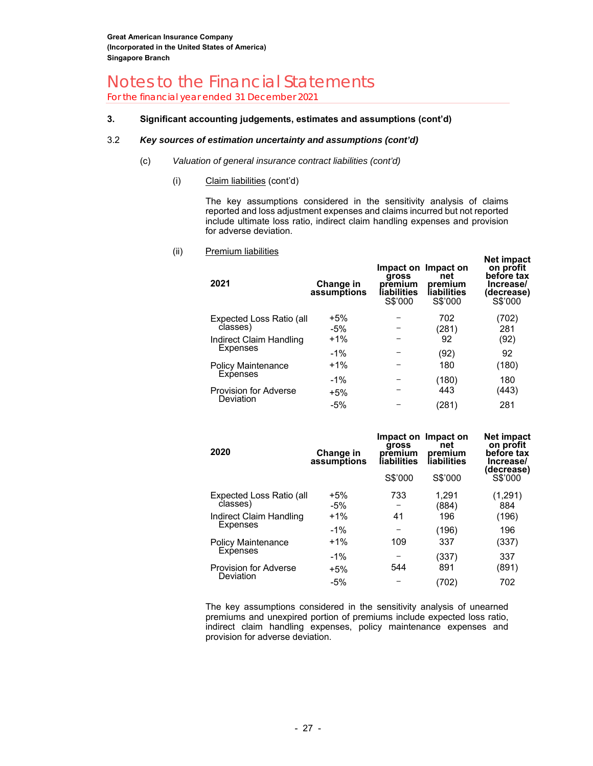For the financial year ended 31 December 2021

#### **3.****Significant accounting judgements, estimates and assumptions (cont'd)**

#### 3.2 *Key sources of estimation uncertainty and assumptions (cont'd)*

- (c) *Valuation of general insurance contract liabilities (cont'd)*
	- (i) Claim liabilities (cont'd)

The key assumptions considered in the sensitivity analysis of claims reported and loss adjustment expenses and claims incurred but not reported include ultimate loss ratio, indirect claim handling expenses and provision for adverse deviation.

(ii) Premium liabilities

| 2021                                 | Change in<br>assumptions | gross<br>premium<br>liabilities<br>S\$'000 | Impact on Impact on<br>net<br>premium<br>liabilities<br>S\$'000 | on profit<br>before tax<br>Increase/<br>(decrease)<br>S\$'000 |
|--------------------------------------|--------------------------|--------------------------------------------|-----------------------------------------------------------------|---------------------------------------------------------------|
| Expected Loss Ratio (all<br>classes) | $+5%$<br>$-5%$           |                                            | 702<br>(281)                                                    | (702)<br>281                                                  |
| Indirect Claim Handling              | $+1\%$                   |                                            | 92                                                              | (92)                                                          |
| Expenses                             | $-1%$                    |                                            | (92)                                                            | 92                                                            |
| Policy Maintenance<br>Expenses       | $+1\%$                   |                                            | 180                                                             | (180)                                                         |
|                                      | $-1%$                    |                                            | (180)                                                           | 180                                                           |
| <b>Provision for Adverse</b>         | +5%                      |                                            | 443                                                             | (443)                                                         |
| Deviation                            | $-5%$                    |                                            | (281)                                                           | 281                                                           |

**Net impact** 

| 2020                                 | Change in<br>assumptions | gross<br>premium<br>liabilities | Impact on Impact on<br>net<br>premium<br>liabilities | Net impact<br>on profit<br>before tax<br>Increase/<br>(decrease) |
|--------------------------------------|--------------------------|---------------------------------|------------------------------------------------------|------------------------------------------------------------------|
|                                      |                          | S\$'000                         | S\$'000                                              | S\$'000                                                          |
| Expected Loss Ratio (all<br>classes) | $+5%$<br>$-5%$           | 733                             | 1.291<br>(884)                                       | (1,291)<br>884                                                   |
| Indirect Claim Handling              | $+1%$                    | 41                              | 196                                                  | (196)                                                            |
| <b>Expenses</b>                      | $-1\%$                   |                                 | (196)                                                | 196                                                              |
| <b>Policy Maintenance</b>            | $+1\%$                   | 109                             | 337                                                  | (337)                                                            |
| Expenses                             | $-1%$                    |                                 | (337)                                                | 337                                                              |
| <b>Provision for Adverse</b>         | $+5%$                    | 544                             | 891                                                  | (891)                                                            |
| Deviation                            | $-5%$                    |                                 | (702)                                                | 702                                                              |

The key assumptions considered in the sensitivity analysis of unearned premiums and unexpired portion of premiums include expected loss ratio, indirect claim handling expenses, policy maintenance expenses and provision for adverse deviation.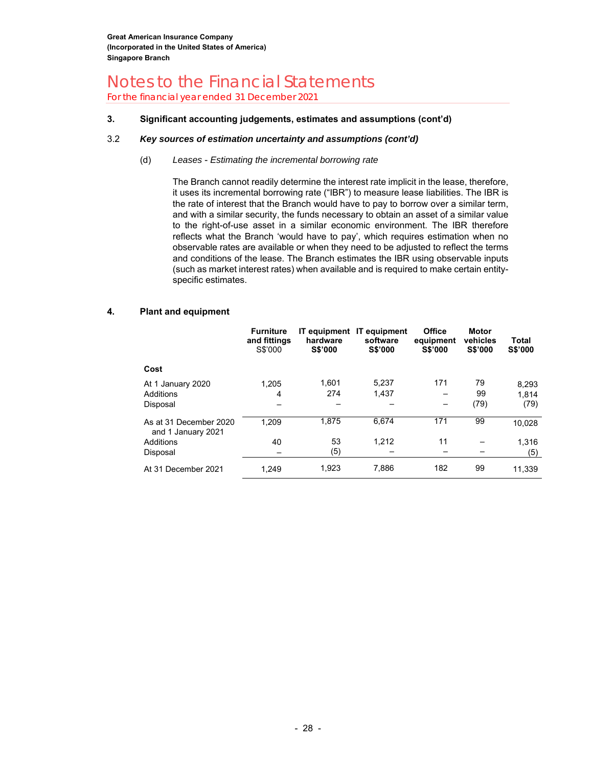For the financial year ended 31 December 2021

#### **3.****Significant accounting judgements, estimates and assumptions (cont'd)**

#### 3.2 *Key sources of estimation uncertainty and assumptions (cont'd)*

#### (d) *Leases* - *Estimating the incremental borrowing rate*

The Branch cannot readily determine the interest rate implicit in the lease, therefore, it uses its incremental borrowing rate ("IBR") to measure lease liabilities. The IBR is the rate of interest that the Branch would have to pay to borrow over a similar term, and with a similar security, the funds necessary to obtain an asset of a similar value to the right-of-use asset in a similar economic environment. The IBR therefore reflects what the Branch 'would have to pay', which requires estimation when no observable rates are available or when they need to be adjusted to reflect the terms and conditions of the lease. The Branch estimates the IBR using observable inputs (such as market interest rates) when available and is required to make certain entityspecific estimates.

#### **4. Plant and equipment**

|                                              | <b>Furniture</b><br>and fittings<br>S\$'000 | IT equipment<br>hardware<br><b>S\$'000</b> | <b>IT</b> equipment<br>software<br><b>S\$'000</b> | Office<br>equipment<br><b>S\$'000</b> | <b>Motor</b><br>vehicles<br><b>S\$'000</b> | Total<br>S\$'000 |
|----------------------------------------------|---------------------------------------------|--------------------------------------------|---------------------------------------------------|---------------------------------------|--------------------------------------------|------------------|
| Cost                                         |                                             |                                            |                                                   |                                       |                                            |                  |
| At 1 January 2020                            | 1.205                                       | 1.601                                      | 5,237                                             | 171                                   | 79                                         | 8,293            |
| Additions                                    | 4                                           | 274                                        | 1,437                                             |                                       | 99                                         | 1.814            |
| Disposal                                     |                                             |                                            |                                                   |                                       | (79)                                       | (79)             |
| As at 31 December 2020<br>and 1 January 2021 | 1.209                                       | 1.875                                      | 6.674                                             | 171                                   | 99                                         | 10,028           |
| Additions                                    | 40                                          | 53                                         | 1.212                                             | 11                                    |                                            | 1.316            |
| Disposal                                     |                                             | (5)                                        |                                                   |                                       |                                            | (5)              |
| At 31 December 2021                          | 1.249                                       | 1.923                                      | 7.886                                             | 182                                   | 99                                         | 11.339           |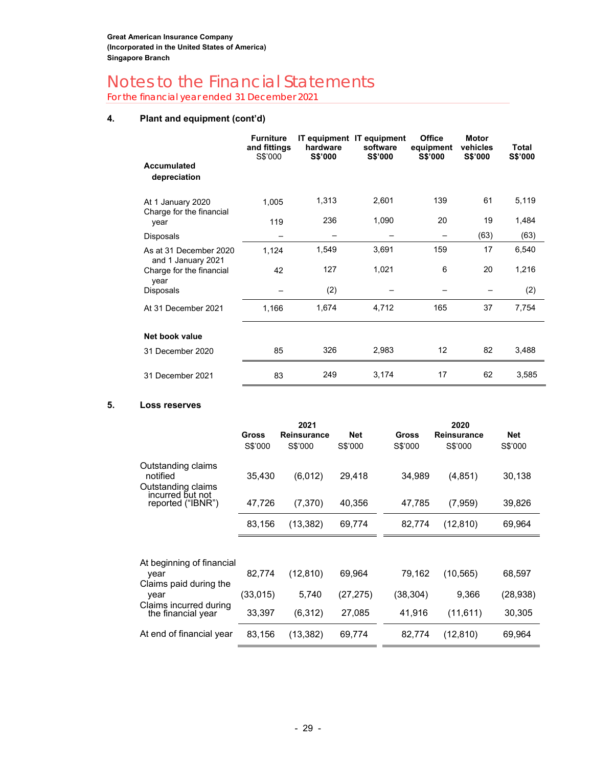For the financial year ended 31 December 2021

#### **4. Plant and equipment (cont'd)**

|                                               | <b>Furniture</b><br>and fittings<br>S\$'000 | hardware<br>S\$'000 | IT equipment IT equipment<br>software<br><b>S\$'000</b> | <b>Office</b><br>equipment<br>S\$'000 | <b>Motor</b><br>vehicles<br><b>S\$'000</b> | Total<br>S\$'000 |
|-----------------------------------------------|---------------------------------------------|---------------------|---------------------------------------------------------|---------------------------------------|--------------------------------------------|------------------|
| <b>Accumulated</b><br>depreciation            |                                             |                     |                                                         |                                       |                                            |                  |
| At 1 January 2020<br>Charge for the financial | 1,005                                       | 1,313               | 2,601                                                   | 139                                   | 61                                         | 5,119            |
| year                                          | 119                                         | 236                 | 1,090                                                   | 20                                    | 19                                         | 1,484            |
| Disposals                                     |                                             |                     |                                                         |                                       | (63)                                       | (63)             |
| As at 31 December 2020<br>and 1 January 2021  | 1,124                                       | 1,549               | 3,691                                                   | 159                                   | 17                                         | 6,540            |
| Charge for the financial<br>year              | 42                                          | 127                 | 1,021                                                   | 6                                     | 20                                         | 1,216            |
| Disposals                                     |                                             | (2)                 |                                                         |                                       |                                            | (2)              |
| At 31 December 2021                           | 1,166                                       | 1,674               | 4,712                                                   | 165                                   | 37                                         | 7,754            |
| Net book value                                |                                             |                     |                                                         |                                       |                                            |                  |
| 31 December 2020                              | 85                                          | 326                 | 2,983                                                   | 12                                    | 82                                         | 3,488            |
| 31 December 2021                              | 83                                          | 249                 | 3,174                                                   | 17                                    | 62                                         | 3,585            |

#### **5. Loss reserves**

|                                                      |          | 2021        |            |              | 2020        |            |
|------------------------------------------------------|----------|-------------|------------|--------------|-------------|------------|
|                                                      | Gross    | Reinsurance | <b>Net</b> | <b>Gross</b> | Reinsurance | <b>Net</b> |
|                                                      | S\$'000  | S\$'000     | S\$'000    | S\$'000      | S\$'000     | S\$'000    |
| Outstanding claims<br>notified<br>Outstanding claims | 35,430   | (6,012)     | 29,418     | 34,989       | (4, 851)    | 30,138     |
| incurred but not<br>reported ("IBNR")                | 47,726   | (7,370)     | 40,356     | 47,785       | (7,959)     | 39,826     |
|                                                      | 83,156   | (13, 382)   | 69,774     | 82,774       | (12, 810)   | 69,964     |
|                                                      |          |             |            |              |             |            |
| At beginning of financial                            |          |             |            |              |             |            |
| year                                                 | 82,774   | (12, 810)   | 69,964     | 79,162       | (10, 565)   | 68,597     |
| Claims paid during the                               |          |             |            |              |             |            |
| year                                                 | (33,015) | 5,740       | (27,275)   | (38,304)     | 9,366       | (28,938)   |
| Claims incurred during<br>the financial year         | 33,397   | (6,312)     | 27,085     | 41,916       | (11, 611)   | 30,305     |
| At end of financial year                             | 83,156   | (13, 382)   | 69,774     | 82,774       | (12, 810)   | 69,964     |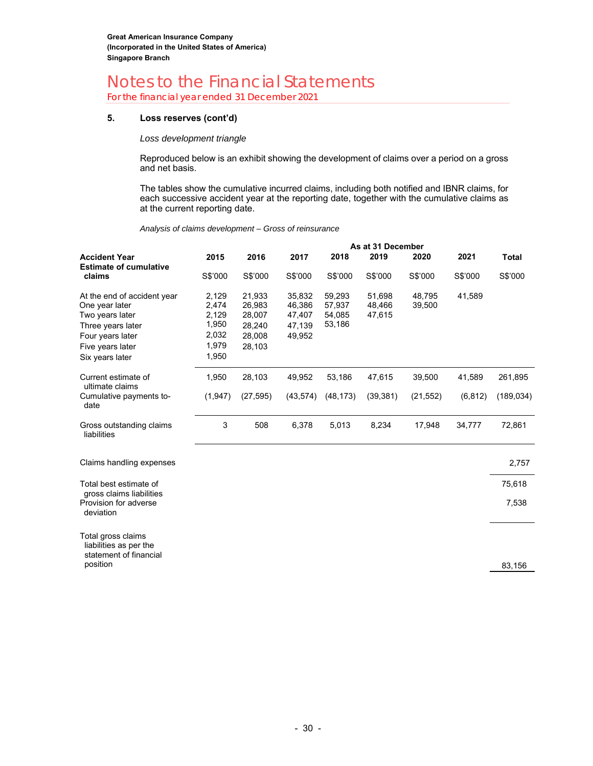For the financial year ended 31 December 2021

#### **5. Loss reserves (cont'd)**

*Loss development triangle* 

Reproduced below is an exhibit showing the development of claims over a period on a gross and net basis.

The tables show the cumulative incurred claims, including both notified and IBNR claims, for each successive accident year at the reporting date, together with the cumulative claims as at the current reporting date.

*Analysis of claims development – Gross of reinsurance*

|                                                                                                                                                  |                                                             | As at 31 December                                        |                                                |                                      |                            |                  |          |            |  |  |
|--------------------------------------------------------------------------------------------------------------------------------------------------|-------------------------------------------------------------|----------------------------------------------------------|------------------------------------------------|--------------------------------------|----------------------------|------------------|----------|------------|--|--|
| <b>Accident Year</b>                                                                                                                             | 2015                                                        | 2016                                                     | 2017                                           | 2018                                 | 2019                       | 2020             | 2021     | Total      |  |  |
| <b>Estimate of cumulative</b><br>claims                                                                                                          | S\$'000                                                     | S\$'000                                                  | S\$'000                                        | S\$'000                              | S\$'000                    | S\$'000          | S\$'000  | S\$'000    |  |  |
| At the end of accident year<br>One year later<br>Two years later<br>Three years later<br>Four years later<br>Five years later<br>Six years later | 2,129<br>2,474<br>2,129<br>1,950<br>2,032<br>1,979<br>1,950 | 21,933<br>26,983<br>28,007<br>28,240<br>28,008<br>28,103 | 35,832<br>46,386<br>47,407<br>47,139<br>49,952 | 59,293<br>57,937<br>54,085<br>53,186 | 51,698<br>48,466<br>47,615 | 48.795<br>39,500 | 41,589   |            |  |  |
| Current estimate of<br>ultimate claims                                                                                                           | 1,950                                                       | 28,103                                                   | 49,952                                         | 53,186                               | 47,615                     | 39,500           | 41.589   | 261,895    |  |  |
| Cumulative payments to-<br>date                                                                                                                  | (1, 947)                                                    | (27, 595)                                                | (43, 574)                                      | (48, 173)                            | (39, 381)                  | (21, 552)        | (6, 812) | (189, 034) |  |  |
| Gross outstanding claims<br>liabilities                                                                                                          | 3                                                           | 508                                                      | 6,378                                          | 5,013                                | 8,234                      | 17,948           | 34,777   | 72,861     |  |  |
| Claims handling expenses                                                                                                                         |                                                             |                                                          |                                                |                                      |                            |                  |          | 2,757      |  |  |
| Total best estimate of<br>gross claims liabilities                                                                                               |                                                             |                                                          |                                                |                                      |                            |                  |          | 75,618     |  |  |
| Provision for adverse<br>deviation                                                                                                               |                                                             |                                                          |                                                |                                      |                            |                  |          | 7,538      |  |  |

Total gross claims liabilities as per the statement of financial position

83,156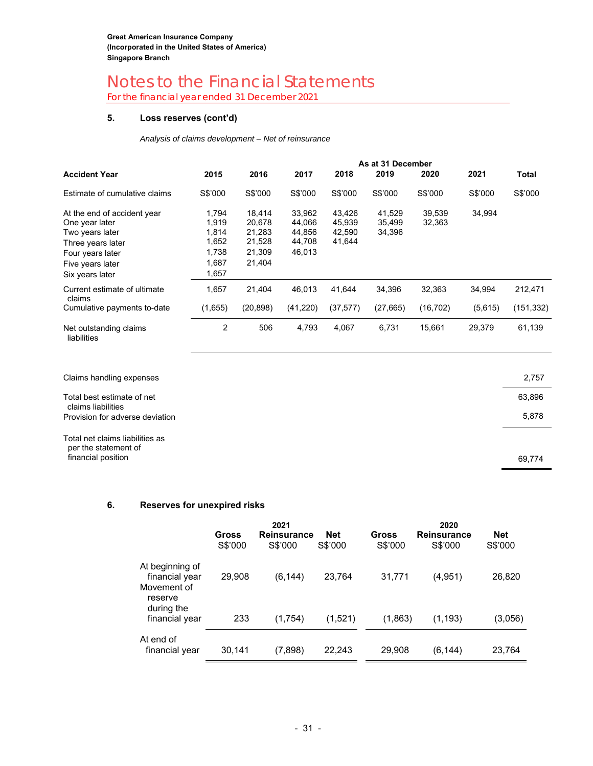For the financial year ended 31 December 2021

#### **5. Loss reserves (cont'd)**

*Analysis of claims development – Net of reinsurance* 

I

|                                        |         | As at 31 December |           |           |           |           |         |           |
|----------------------------------------|---------|-------------------|-----------|-----------|-----------|-----------|---------|-----------|
| <b>Accident Year</b>                   | 2015    | 2016              | 2017      | 2018      | 2019      | 2020      | 2021    | Total     |
| Estimate of cumulative claims          | S\$'000 | S\$'000           | S\$'000   | S\$'000   | S\$'000   | S\$'000   | S\$'000 | S\$'000   |
| At the end of accident year            | 1.794   | 18.414            | 33,962    | 43.426    | 41.529    | 39,539    | 34,994  |           |
| One year later                         | 1,919   | 20,678            | 44,066    | 45,939    | 35,499    | 32,363    |         |           |
| Two years later                        | 1,814   | 21,283            | 44,856    | 42,590    | 34,396    |           |         |           |
| Three years later                      | 1,652   | 21,528            | 44,708    | 41,644    |           |           |         |           |
| Four years later                       | 1,738   | 21,309            | 46,013    |           |           |           |         |           |
| Five years later                       | 1.687   | 21,404            |           |           |           |           |         |           |
| Six years later                        | 1,657   |                   |           |           |           |           |         |           |
| Current estimate of ultimate<br>claims | 1,657   | 21.404            | 46.013    | 41.644    | 34.396    | 32.363    | 34,994  | 212,471   |
| Cumulative payments to-date            | (1,655) | (20, 898)         | (41, 220) | (37, 577) | (27, 665) | (16, 702) | (5,615) | (151,332) |
| Net outstanding claims<br>liabilities  | 2       | 506               | 4,793     | 4,067     | 6,731     | 15,661    | 29,379  | 61,139    |

| Claims handling expenses                                                      | 2,757  |
|-------------------------------------------------------------------------------|--------|
| Total best estimate of net<br>claims liabilities                              | 63,896 |
| Provision for adverse deviation                                               | 5,878  |
| Total net claims liabilities as<br>per the statement of<br>financial position | 69,774 |

#### **6. Reserves for unexpired risks**

|                                                                           | <b>Gross</b><br>S\$'000 | 2021<br><b>Reinsurance</b><br>S\$'000 | Net<br>S\$'000 | <b>Gross</b><br>S\$'000 | 2020<br>Reinsurance<br>S\$'000 | <b>Net</b><br>S\$'000 |
|---------------------------------------------------------------------------|-------------------------|---------------------------------------|----------------|-------------------------|--------------------------------|-----------------------|
| At beginning of<br>financial year<br>Movement of<br>reserve<br>during the | 29,908                  | (6, 144)                              | 23,764         | 31,771                  | (4,951)                        | 26,820                |
| financial year                                                            | 233                     | (1,754)                               | (1,521)        | (1,863)                 | (1, 193)                       | (3,056)               |
| At end of<br>financial year                                               | 30,141                  | (7,898)                               | 22,243         | 29.908                  | (6, 144)                       | 23,764                |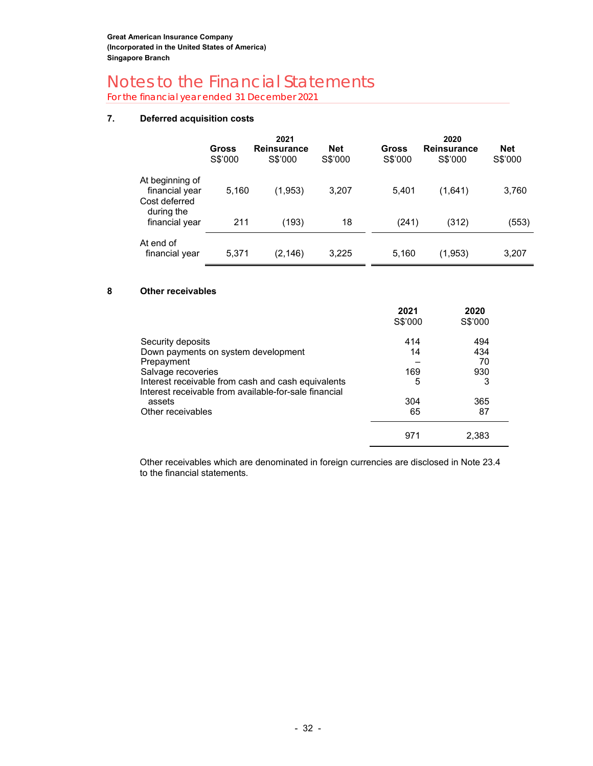For the financial year ended 31 December 2021

#### **7. Deferred acquisition costs**

|                                                                  | Gross<br>S\$'000 | 2021<br><b>Reinsurance</b><br>S\$'000 | <b>Net</b><br>S\$'000 | Gross<br>S\$'000 | 2020<br><b>Reinsurance</b><br>S\$'000 | <b>Net</b><br>S\$'000 |
|------------------------------------------------------------------|------------------|---------------------------------------|-----------------------|------------------|---------------------------------------|-----------------------|
| At beginning of<br>financial year<br>Cost deferred<br>during the | 5,160            | (1,953)                               | 3,207                 | 5,401            | (1,641)                               | 3,760                 |
| financial year                                                   | 211              | (193)                                 | 18                    | (241)            | (312)                                 | (553)                 |
| At end of<br>financial year                                      | 5,371            | (2, 146)                              | 3,225                 | 5,160            | (1,953)                               | 3,207                 |

#### **8 Other receivables**

|                                                                                                             | 2021<br>S\$'000 | 2020<br>S\$'000 |  |
|-------------------------------------------------------------------------------------------------------------|-----------------|-----------------|--|
| Security deposits                                                                                           | 414             | 494             |  |
| Down payments on system development                                                                         | 14              | 434             |  |
| Prepayment                                                                                                  |                 | 70              |  |
| Salvage recoveries                                                                                          | 169             | 930             |  |
| Interest receivable from cash and cash equivalents<br>Interest receivable from available-for-sale financial | 5               | 3               |  |
| assets                                                                                                      | 304             | 365             |  |
| Other receivables                                                                                           | 65              | 87              |  |
|                                                                                                             | 971             | 2.383           |  |

Other receivables which are denominated in foreign currencies are disclosed in Note 23.4 to the financial statements.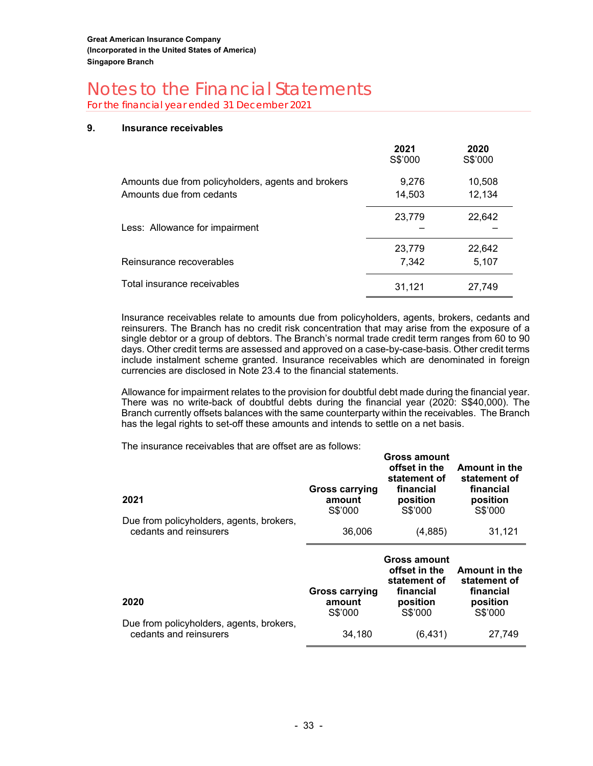For the financial year ended 31 December 2021

#### **9. Insurance receivables**

|                                                    | 2021<br>S\$'000 | 2020<br>S\$'000 |
|----------------------------------------------------|-----------------|-----------------|
| Amounts due from policyholders, agents and brokers | 9,276           | 10,508          |
| Amounts due from cedants                           | 14,503          | 12,134          |
|                                                    | 23,779          | 22,642          |
| Less: Allowance for impairment                     |                 |                 |
|                                                    | 23,779          | 22,642          |
| Reinsurance recoverables                           | 7,342           | 5,107           |
| Total insurance receivables                        | 31,121          | 27,749          |

Insurance receivables relate to amounts due from policyholders, agents, brokers, cedants and reinsurers. The Branch has no credit risk concentration that may arise from the exposure of a single debtor or a group of debtors. The Branch's normal trade credit term ranges from 60 to 90 days. Other credit terms are assessed and approved on a case-by-case-basis. Other credit terms include instalment scheme granted. Insurance receivables which are denominated in foreign currencies are disclosed in Note 23.4 to the financial statements.

Allowance for impairment relates to the provision for doubtful debt made during the financial year. There was no write-back of doubtful debts during the financial year (2020: S\$40,000). The Branch currently offsets balances with the same counterparty within the receivables. The Branch has the legal rights to set-off these amounts and intends to settle on a net basis.

**Gross amount** 

The insurance receivables that are offset are as follows:

| 2021<br>Due from policyholders, agents, brokers, | <b>Gross carrying</b><br>amount<br>S\$'000 | GIUSS AIIIUUIIL<br>offset in the<br>statement of<br>financial<br>position<br>S\$'000 | <b>Amount in the</b><br>statement of<br>financial<br>position<br>S\$'000 |
|--------------------------------------------------|--------------------------------------------|--------------------------------------------------------------------------------------|--------------------------------------------------------------------------|
| cedants and reinsurers                           | 36,006                                     | (4,885)                                                                              | 31,121                                                                   |
|                                                  |                                            |                                                                                      |                                                                          |
|                                                  | <b>Gross carrying</b>                      | Gross amount<br>offset in the<br>statement of<br>financial                           | <b>Amount in the</b><br>statement of<br>financial                        |
| 2020                                             | amount<br>S\$'000                          | position<br>S\$'000                                                                  | position<br>S\$'000                                                      |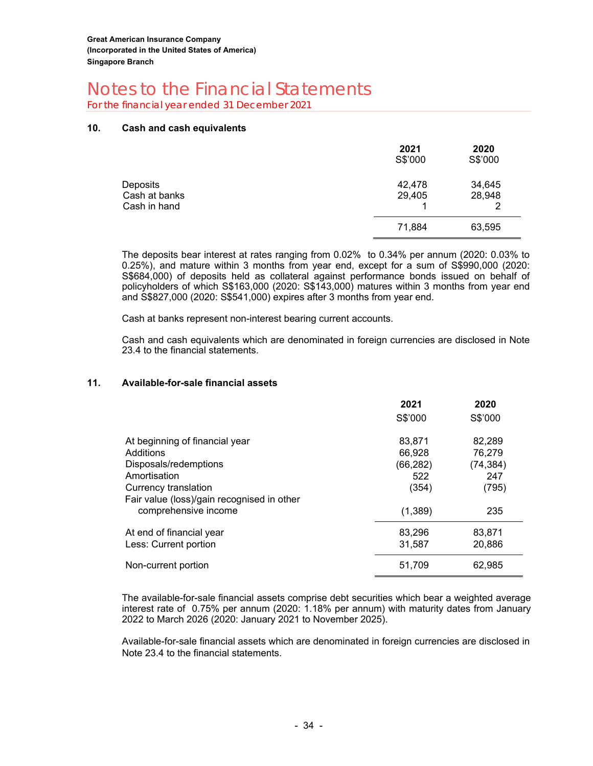For the financial year ended 31 December 2021

#### **10. Cash and cash equivalents**

|                                           | 2021<br>S\$'000  | 2020<br>S\$'000       |
|-------------------------------------------|------------------|-----------------------|
| Deposits<br>Cash at banks<br>Cash in hand | 42,478<br>29,405 | 34,645<br>28,948<br>2 |
|                                           | 71,884           | 63,595                |

The deposits bear interest at rates ranging from 0.02% to 0.34% per annum (2020: 0.03% to 0.25%), and mature within 3 months from year end, except for a sum of S\$990,000 (2020: S\$684,000) of deposits held as collateral against performance bonds issued on behalf of policyholders of which S\$163,000 (2020: S\$143,000) matures within 3 months from year end and S\$827,000 (2020: S\$541,000) expires after 3 months from year end.

Cash at banks represent non-interest bearing current accounts.

Cash and cash equivalents which are denominated in foreign currencies are disclosed in Note 23.4 to the financial statements.

#### **11. Available-for-sale financial assets**

|                                            | 2021      | 2020      |
|--------------------------------------------|-----------|-----------|
|                                            | S\$'000   | S\$'000   |
| At beginning of financial year             | 83,871    | 82,289    |
| Additions                                  | 66,928    | 76,279    |
| Disposals/redemptions                      | (66, 282) | (74, 384) |
| Amortisation                               | 522       | 247       |
| Currency translation                       | (354)     | (795)     |
| Fair value (loss)/gain recognised in other |           |           |
| comprehensive income                       | (1,389)   | 235       |
| At end of financial year                   | 83,296    | 83,871    |
| Less: Current portion                      | 31,587    | 20,886    |
| Non-current portion                        | 51,709    | 62,985    |

The available-for-sale financial assets comprise debt securities which bear a weighted average interest rate of 0.75% per annum (2020: 1.18% per annum) with maturity dates from January 2022 to March 2026 (2020: January 2021 to November 2025).

Available-for-sale financial assets which are denominated in foreign currencies are disclosed in Note 23.4 to the financial statements.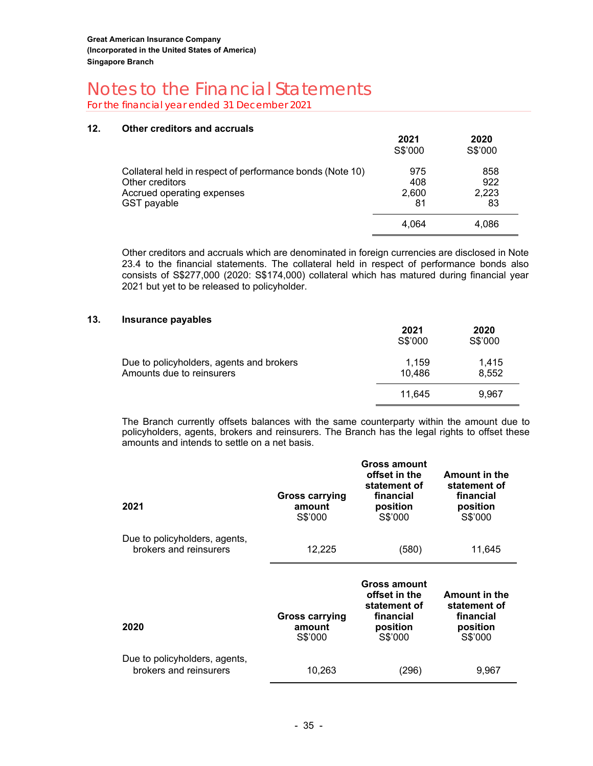For the financial year ended 31 December 2021

#### **12. Other creditors and accruals**

|                                                                                                                           | 2021<br>S\$'000           | 2020<br>S\$'000           |
|---------------------------------------------------------------------------------------------------------------------------|---------------------------|---------------------------|
| Collateral held in respect of performance bonds (Note 10)<br>Other creditors<br>Accrued operating expenses<br>GST payable | 975<br>408<br>2.600<br>81 | 858<br>922<br>2,223<br>83 |
|                                                                                                                           | 4.064                     | 4.086                     |

Other creditors and accruals which are denominated in foreign currencies are disclosed in Note 23.4 to the financial statements. The collateral held in respect of performance bonds also consists of S\$277,000 (2020: S\$174,000) collateral which has matured during financial year 2021 but yet to be released to policyholder.

#### **13. Insurance payables**

|                                                                       | 2021<br>S\$'000 | 2020<br>S\$'000 |
|-----------------------------------------------------------------------|-----------------|-----------------|
| Due to policyholders, agents and brokers<br>Amounts due to reinsurers | 1.159<br>10,486 | 1.415<br>8,552  |
|                                                                       | 11.645          | 9.967           |

The Branch currently offsets balances with the same counterparty within the amount due to policyholders, agents, brokers and reinsurers. The Branch has the legal rights to offset these amounts and intends to settle on a net basis.

| 2021                                                    | <b>Gross carrying</b><br>amount<br>S\$'000 | Gross amount<br>offset in the<br>statement of<br>financial<br>position<br>S\$'000 | <b>Amount in the</b><br>statement of<br>financial<br>position<br>S\$'000 |
|---------------------------------------------------------|--------------------------------------------|-----------------------------------------------------------------------------------|--------------------------------------------------------------------------|
| Due to policyholders, agents,<br>brokers and reinsurers | 12,225                                     | (580)                                                                             | 11,645                                                                   |
|                                                         |                                            |                                                                                   |                                                                          |
| 2020                                                    | <b>Gross carrying</b><br>amount<br>S\$'000 | Gross amount<br>offset in the<br>statement of<br>financial<br>position<br>S\$'000 | <b>Amount in the</b><br>statement of<br>financial<br>position<br>S\$'000 |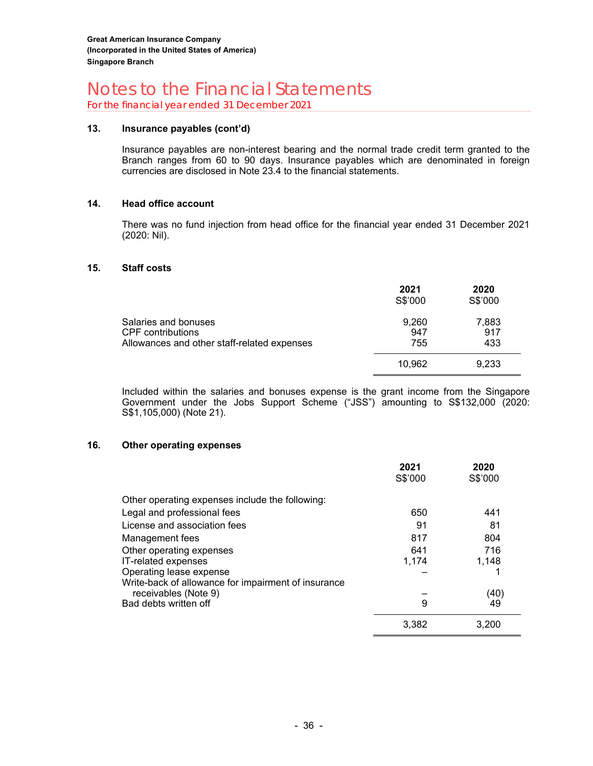For the financial year ended 31 December 2021

#### **13. Insurance payables (cont'd)**

Insurance payables are non-interest bearing and the normal trade credit term granted to the Branch ranges from 60 to 90 days. Insurance payables which are denominated in foreign currencies are disclosed in Note 23.4 to the financial statements.

#### **14. Head office account**

There was no fund injection from head office for the financial year ended 31 December 2021 (2020: Nil).

#### **15. Staff costs**

|                                                                                                 | 2021<br>S\$'000     | 2020<br>S\$'000     |
|-------------------------------------------------------------------------------------------------|---------------------|---------------------|
| Salaries and bonuses<br><b>CPF</b> contributions<br>Allowances and other staff-related expenses | 9,260<br>947<br>755 | 7,883<br>917<br>433 |
|                                                                                                 | 10,962              | 9,233               |

Included within the salaries and bonuses expense is the grant income from the Singapore Government under the Jobs Support Scheme ("JSS") amounting to S\$132,000 (2020: S\$1,105,000) (Note 21).

#### **16. Other operating expenses**

|                                                     | 2021<br>S\$'000 | 2020<br>S\$'000 |
|-----------------------------------------------------|-----------------|-----------------|
| Other operating expenses include the following:     |                 |                 |
| Legal and professional fees                         | 650             | 441             |
| License and association fees                        | 91              | 81              |
| Management fees                                     | 817             | 804             |
| Other operating expenses                            | 641             | 716             |
| IT-related expenses                                 | 1,174           | 1.148           |
| Operating lease expense                             |                 |                 |
| Write-back of allowance for impairment of insurance |                 |                 |
| receivables (Note 9)                                |                 | (40)            |
| Bad debts written off                               | 9               | 49              |
|                                                     | 3,382           | 3.200           |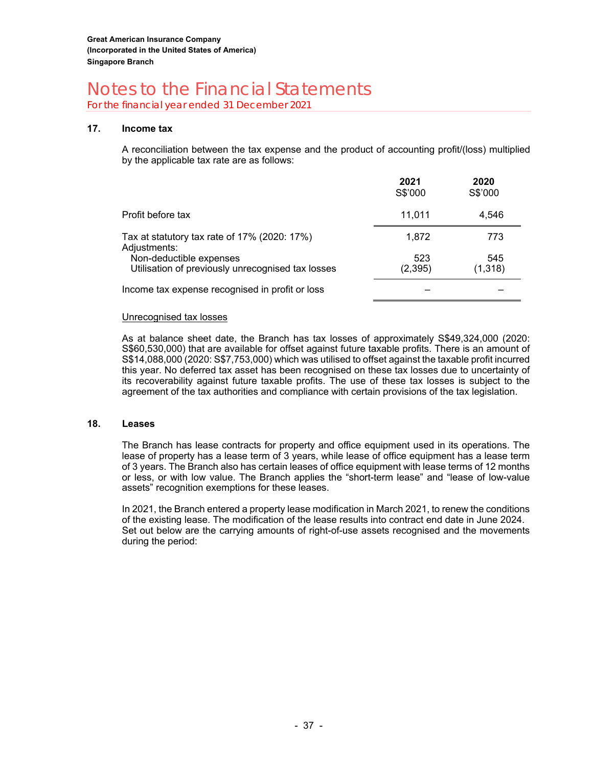For the financial year ended 31 December 2021

#### **17. Income tax**

A reconciliation between the tax expense and the product of accounting profit/(loss) multiplied by the applicable tax rate are as follows:

|                                                                              | 2021<br>S\$'000 | 2020<br>S\$'000 |
|------------------------------------------------------------------------------|-----------------|-----------------|
| Profit before tax                                                            | 11.011          | 4.546           |
| Tax at statutory tax rate of 17% (2020: 17%)<br>Adjustments:                 | 1,872           | 773             |
| Non-deductible expenses<br>Utilisation of previously unrecognised tax losses | 523<br>(2,395)  | 545<br>(1, 318) |
| Income tax expense recognised in profit or loss                              |                 |                 |

#### Unrecognised tax losses

As at balance sheet date, the Branch has tax losses of approximately S\$49,324,000 (2020: S\$60,530,000) that are available for offset against future taxable profits. There is an amount of S\$14,088,000 (2020: S\$7,753,000) which was utilised to offset against the taxable profit incurred this year. No deferred tax asset has been recognised on these tax losses due to uncertainty of its recoverability against future taxable profits. The use of these tax losses is subject to the agreement of the tax authorities and compliance with certain provisions of the tax legislation.

#### **18. Leases**

The Branch has lease contracts for property and office equipment used in its operations. The lease of property has a lease term of 3 years, while lease of office equipment has a lease term of 3 years. The Branch also has certain leases of office equipment with lease terms of 12 months or less, or with low value. The Branch applies the "short-term lease" and "lease of low-value assets" recognition exemptions for these leases.

In 2021, the Branch entered a property lease modification in March 2021, to renew the conditions of the existing lease. The modification of the lease results into contract end date in June 2024. Set out below are the carrying amounts of right-of-use assets recognised and the movements during the period: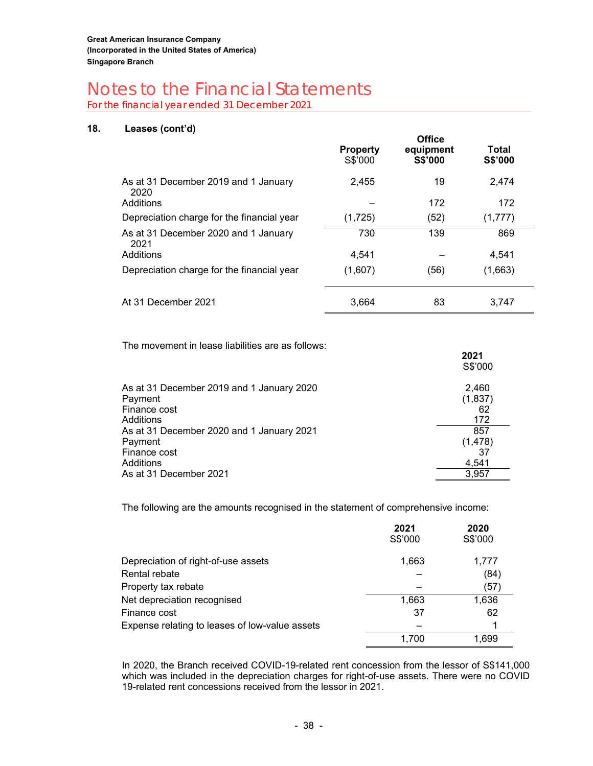For the financial year ended 31 December 2021

#### **18. Leases (cont'd)**

|                                              | <b>Property</b><br>S\$'000 | <b>Office</b><br>equipment<br><b>S\$'000</b> | Total<br><b>S\$'000</b> |  |
|----------------------------------------------|----------------------------|----------------------------------------------|-------------------------|--|
| As at 31 December 2019 and 1 January<br>2020 | 2,455                      | 19                                           | 2,474                   |  |
| Additions                                    |                            | 172                                          | 172                     |  |
| Depreciation charge for the financial year   | (1,725)                    | (52)                                         | (1,777)                 |  |
| As at 31 December 2020 and 1 January<br>2021 | 730                        | 139                                          | 869                     |  |
| Additions                                    | 4.541                      |                                              | 4.541                   |  |
| Depreciation charge for the financial year   | (1,607)                    | (56)                                         | (1,663)                 |  |
| At 31 December 2021                          | 3.664                      | 83                                           | 3,747                   |  |

The movement in lease liabilities are as follows:

|                                           | 2021<br>S\$'000 |
|-------------------------------------------|-----------------|
| As at 31 December 2019 and 1 January 2020 | 2,460           |
| Payment                                   | (1, 837)        |
| Finance cost                              | 62              |
| Additions                                 | 172             |
| As at 31 December 2020 and 1 January 2021 | 857             |
| Payment                                   | (1, 478)        |
| Finance cost                              | 37              |
| Additions                                 | 4,541           |
| As at 31 December 2021                    | 3.957           |

The following are the amounts recognised in the statement of comprehensive income:

|                                                | 2021<br>S\$'000 | 2020<br>S\$'000 |
|------------------------------------------------|-----------------|-----------------|
| Depreciation of right-of-use assets            | 1,663           | 1,777           |
| Rental rebate                                  |                 | (84)            |
| Property tax rebate                            |                 | (57)            |
| Net depreciation recognised                    | 1,663           | 1,636           |
| Finance cost                                   | 37              | 62              |
| Expense relating to leases of low-value assets |                 |                 |
|                                                | 1.700           | 1.699           |

In 2020, the Branch received COVID-19-related rent concession from the lessor of S\$141,000 which was included in the depreciation charges for right-of-use assets. There were no COVID 19-related rent concessions received from the lessor in 2021.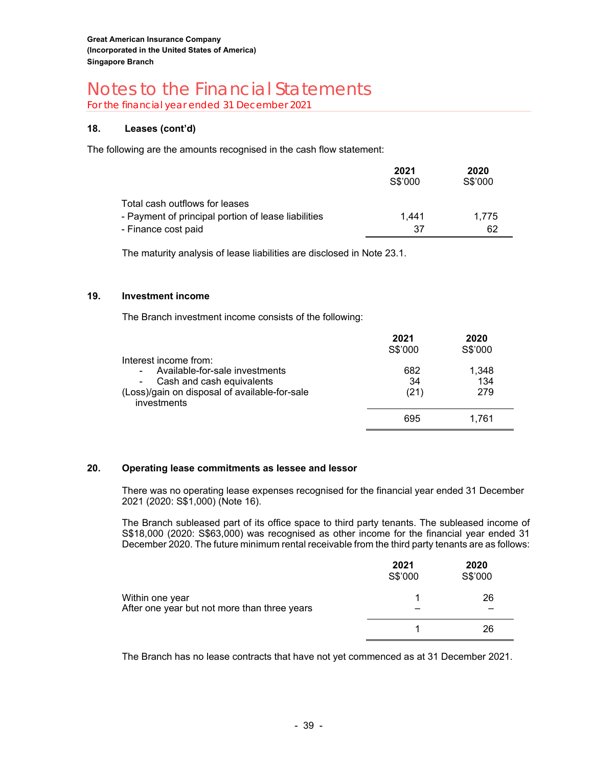For the financial year ended 31 December 2021

#### **18. Leases (cont'd)**

The following are the amounts recognised in the cash flow statement:

|                                                     | 2021<br>S\$'000 | 2020<br>S\$'000 |
|-----------------------------------------------------|-----------------|-----------------|
| Total cash outflows for leases                      |                 |                 |
| - Payment of principal portion of lease liabilities | 1.441           | 1.775           |
| - Finance cost paid                                 | .37             | 62              |

The maturity analysis of lease liabilities are disclosed in Note 23.1.

#### **19. Investment income**

The Branch investment income consists of the following:

| Interest income from:                                                                                                              | 2021<br>S\$'000   | 2020<br>S\$'000     |
|------------------------------------------------------------------------------------------------------------------------------------|-------------------|---------------------|
| Available-for-sale investments<br>۰<br>- Cash and cash equivalents<br>(Loss)/gain on disposal of available-for-sale<br>investments | 682<br>34<br>(21) | 1,348<br>134<br>279 |
|                                                                                                                                    | 695               | 1.761               |

#### **20. Operating lease commitments as lessee and lessor**

There was no operating lease expenses recognised for the financial year ended 31 December 2021 (2020: S\$1,000) (Note 16).

The Branch subleased part of its office space to third party tenants. The subleased income of S\$18,000 (2020: S\$63,000) was recognised as other income for the financial year ended 31 December 2020. The future minimum rental receivable from the third party tenants are as follows:

|                                                                 | 2021<br>S\$'000 | 2020<br>S\$'000 |
|-----------------------------------------------------------------|-----------------|-----------------|
| Within one year<br>After one year but not more than three years |                 | 26              |
|                                                                 |                 | 26              |

The Branch has no lease contracts that have not yet commenced as at 31 December 2021.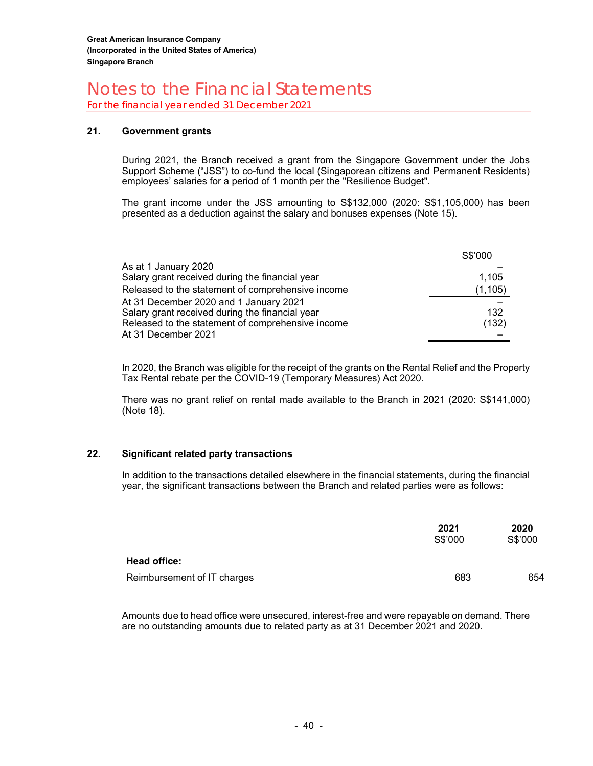For the financial year ended 31 December 2021

#### **21. Government grants**

During 2021, the Branch received a grant from the Singapore Government under the Jobs Support Scheme ("JSS") to co-fund the local (Singaporean citizens and Permanent Residents) employees' salaries for a period of 1 month per the "Resilience Budget".

The grant income under the JSS amounting to S\$132,000 (2020: S\$1,105,000) has been presented as a deduction against the salary and bonuses expenses (Note 15).

|                                                   | S\$'000  |
|---------------------------------------------------|----------|
| As at 1 January 2020                              |          |
| Salary grant received during the financial year   | 1,105    |
| Released to the statement of comprehensive income | (1, 105) |
| At 31 December 2020 and 1 January 2021            |          |
| Salary grant received during the financial year   | 132      |
| Released to the statement of comprehensive income | (132)    |
| At 31 December 2021                               |          |

In 2020, the Branch was eligible for the receipt of the grants on the Rental Relief and the Property Tax Rental rebate per the COVID-19 (Temporary Measures) Act 2020.

There was no grant relief on rental made available to the Branch in 2021 (2020: S\$141,000) (Note 18).

#### **22. Significant related party transactions**

In addition to the transactions detailed elsewhere in the financial statements, during the financial year, the significant transactions between the Branch and related parties were as follows:

|                             | 2021<br>S\$'000 | 2020<br>S\$'000 |
|-----------------------------|-----------------|-----------------|
| Head office:                |                 |                 |
| Reimbursement of IT charges | 683             | 654             |

Amounts due to head office were unsecured, interest-free and were repayable on demand. There are no outstanding amounts due to related party as at 31 December 2021 and 2020.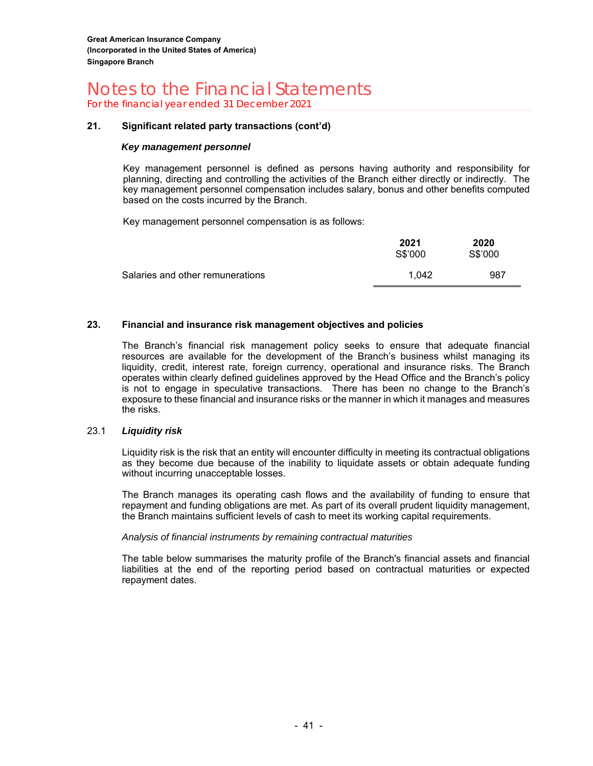For the financial year ended 31 December 2021

#### **21. Significant related party transactions (cont'd)**

#### *Key management personnel*

Key management personnel is defined as persons having authority and responsibility for planning, directing and controlling the activities of the Branch either directly or indirectly. The key management personnel compensation includes salary, bonus and other benefits computed based on the costs incurred by the Branch.

Key management personnel compensation is as follows:

|                                   | 2021<br>S\$'000 | 2020<br>S\$'000 |
|-----------------------------------|-----------------|-----------------|
| Salaries and other remunerations_ | 1.042           | 987             |

#### **23. Financial and insurance risk management objectives and policies**

The Branch's financial risk management policy seeks to ensure that adequate financial resources are available for the development of the Branch's business whilst managing its liquidity, credit, interest rate, foreign currency, operational and insurance risks. The Branch operates within clearly defined guidelines approved by the Head Office and the Branch's policy is not to engage in speculative transactions. There has been no change to the Branch's exposure to these financial and insurance risks or the manner in which it manages and measures the risks.

#### 23.1 *Liquidity risk*

Liquidity risk is the risk that an entity will encounter difficulty in meeting its contractual obligations as they become due because of the inability to liquidate assets or obtain adequate funding without incurring unacceptable losses.

The Branch manages its operating cash flows and the availability of funding to ensure that repayment and funding obligations are met. As part of its overall prudent liquidity management, the Branch maintains sufficient levels of cash to meet its working capital requirements.

#### *Analysis of financial instruments by remaining contractual maturities*

The table below summarises the maturity profile of the Branch's financial assets and financial liabilities at the end of the reporting period based on contractual maturities or expected repayment dates.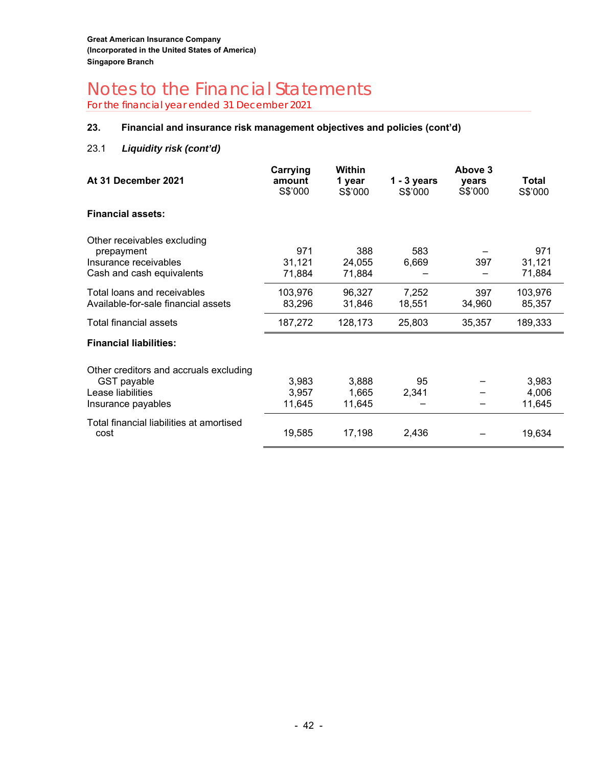For the financial year ended 31 December 2021

#### **23. Financial and insurance risk management objectives and policies (cont'd)**

#### 23.1 *Liquidity risk (cont'd)*

| At 31 December 2021                                                                                     | Carrying<br>amount<br>S\$'000 | Within<br>1 year<br>S\$'000 | $1 - 3$ years<br>S\$'000 | Above 3<br>vears<br>S\$'000 | Total<br>S\$'000         |
|---------------------------------------------------------------------------------------------------------|-------------------------------|-----------------------------|--------------------------|-----------------------------|--------------------------|
| <b>Financial assets:</b>                                                                                |                               |                             |                          |                             |                          |
| Other receivables excluding<br>prepayment<br>Insurance receivables<br>Cash and cash equivalents         | 971<br>31,121<br>71,884       | 388<br>24,055<br>71,884     | 583<br>6,669             | 397                         | 971<br>31,121<br>71,884  |
| Total loans and receivables<br>Available-for-sale financial assets                                      | 103,976<br>83,296             | 96,327<br>31,846            | 7,252<br>18,551          | 397<br>34,960               | 103,976<br>85,357        |
| <b>Total financial assets</b>                                                                           | 187,272                       | 128,173                     | 25,803                   | 35,357                      | 189,333                  |
| <b>Financial liabilities:</b>                                                                           |                               |                             |                          |                             |                          |
| Other creditors and accruals excluding<br><b>GST</b> payable<br>Lease liabilities<br>Insurance payables | 3,983<br>3.957<br>11,645      | 3,888<br>1,665<br>11,645    | 95<br>2,341              |                             | 3,983<br>4,006<br>11,645 |
| Total financial liabilities at amortised<br>cost                                                        | 19,585                        | 17,198                      | 2,436                    |                             | 19,634                   |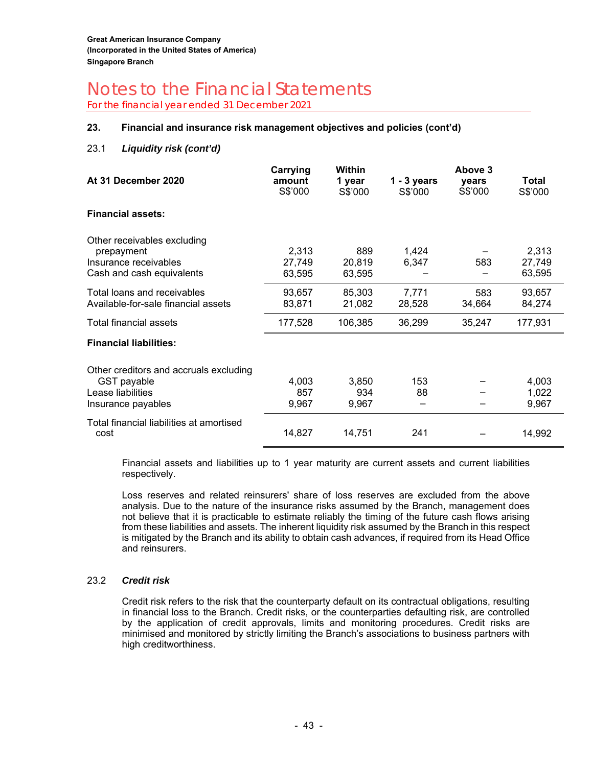For the financial year ended 31 December 2021

#### **23. Financial and insurance risk management objectives and policies (cont'd)**

#### 23.1 *Liquidity risk (cont'd)*

| At 31 December 2020                                                                                     | Carrying<br>amount<br>S\$'000 | <b>Within</b><br>1 year<br>S\$'000 | $1 - 3$ years<br>S\$'000 | Above 3<br>vears<br>S\$'000 | Total<br>S\$'000          |
|---------------------------------------------------------------------------------------------------------|-------------------------------|------------------------------------|--------------------------|-----------------------------|---------------------------|
| <b>Financial assets:</b>                                                                                |                               |                                    |                          |                             |                           |
| Other receivables excluding<br>prepayment<br>Insurance receivables<br>Cash and cash equivalents         | 2,313<br>27,749<br>63,595     | 889<br>20,819<br>63,595            | 1,424<br>6,347           | 583                         | 2,313<br>27,749<br>63,595 |
| Total loans and receivables<br>Available-for-sale financial assets                                      | 93,657<br>83,871              | 85,303<br>21,082                   | 7,771<br>28,528          | 583<br>34,664               | 93,657<br>84,274          |
| Total financial assets                                                                                  | 177,528                       | 106,385                            | 36,299                   | 35,247                      | 177,931                   |
| <b>Financial liabilities:</b>                                                                           |                               |                                    |                          |                             |                           |
| Other creditors and accruals excluding<br><b>GST</b> payable<br>Lease liabilities<br>Insurance payables | 4,003<br>857<br>9,967         | 3,850<br>934<br>9,967              | 153<br>88                |                             | 4,003<br>1,022<br>9,967   |
| Total financial liabilities at amortised<br>cost                                                        | 14,827                        | 14,751                             | 241                      |                             | 14,992                    |

Financial assets and liabilities up to 1 year maturity are current assets and current liabilities respectively.

Loss reserves and related reinsurers' share of loss reserves are excluded from the above analysis. Due to the nature of the insurance risks assumed by the Branch, management does not believe that it is practicable to estimate reliably the timing of the future cash flows arising from these liabilities and assets. The inherent liquidity risk assumed by the Branch in this respect is mitigated by the Branch and its ability to obtain cash advances, if required from its Head Office and reinsurers.

#### 23.2 *Credit risk*

Credit risk refers to the risk that the counterparty default on its contractual obligations, resulting in financial loss to the Branch. Credit risks, or the counterparties defaulting risk, are controlled by the application of credit approvals, limits and monitoring procedures. Credit risks are minimised and monitored by strictly limiting the Branch's associations to business partners with high creditworthiness.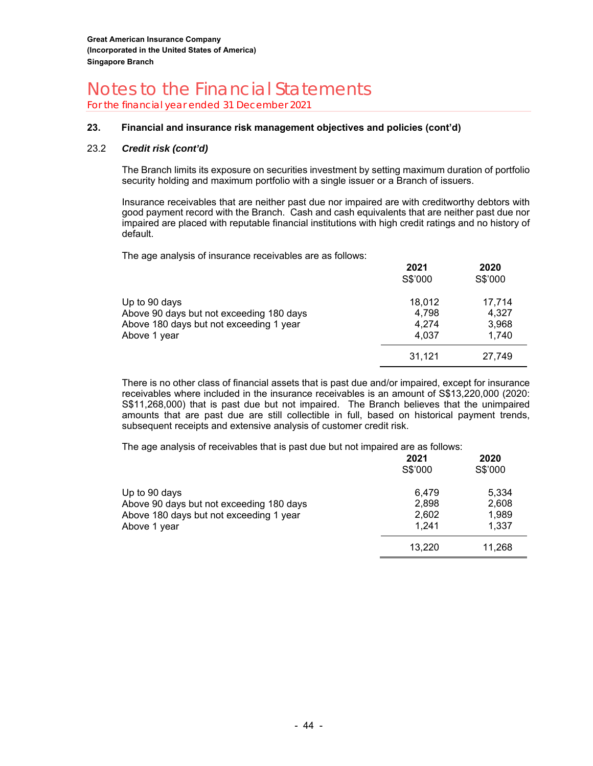For the financial year ended 31 December 2021

#### **23. Financial and insurance risk management objectives and policies (cont'd)**

#### 23.2 *Credit risk (cont'd)*

The Branch limits its exposure on securities investment by setting maximum duration of portfolio security holding and maximum portfolio with a single issuer or a Branch of issuers.

Insurance receivables that are neither past due nor impaired are with creditworthy debtors with good payment record with the Branch. Cash and cash equivalents that are neither past due nor impaired are placed with reputable financial institutions with high credit ratings and no history of default.

The age analysis of insurance receivables are as follows:

|                                          | 2021<br>S\$'000 | 2020<br>S\$'000 |
|------------------------------------------|-----------------|-----------------|
| Up to 90 days                            | 18.012          | 17,714          |
| Above 90 days but not exceeding 180 days | 4,798           | 4.327           |
| Above 180 days but not exceeding 1 year  | 4.274           | 3,968           |
| Above 1 year                             | 4.037           | 1.740           |
|                                          | 31.121          | 27,749          |

There is no other class of financial assets that is past due and/or impaired, except for insurance receivables where included in the insurance receivables is an amount of S\$13,220,000 (2020: S\$11,268,000) that is past due but not impaired. The Branch believes that the unimpaired amounts that are past due are still collectible in full, based on historical payment trends, subsequent receipts and extensive analysis of customer credit risk.

The age analysis of receivables that is past due but not impaired are as follows:

|                                                                                                                      | 2021<br>S\$'000                  | 2020<br>S\$'000                  |
|----------------------------------------------------------------------------------------------------------------------|----------------------------------|----------------------------------|
| Up to 90 days<br>Above 90 days but not exceeding 180 days<br>Above 180 days but not exceeding 1 year<br>Above 1 year | 6.479<br>2,898<br>2,602<br>1.241 | 5,334<br>2,608<br>1,989<br>1.337 |
|                                                                                                                      | 13,220                           | 11,268                           |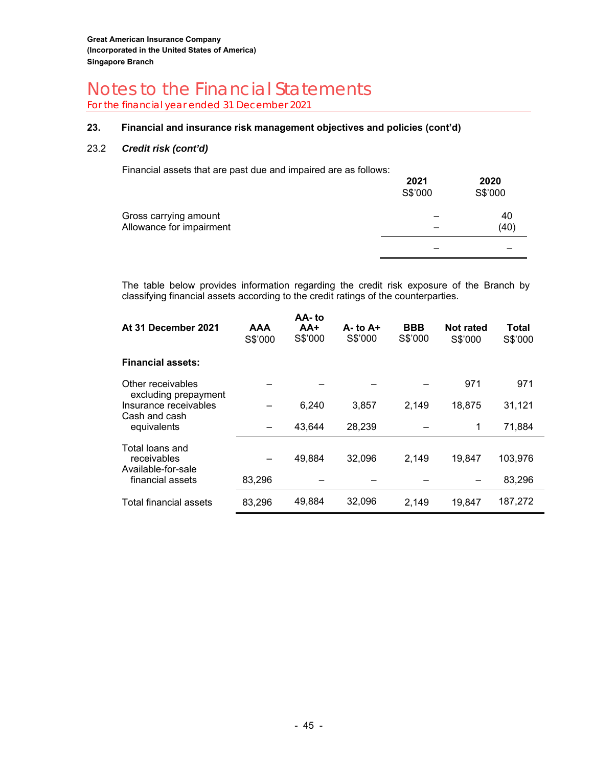For the financial year ended 31 December 2021

#### **23. Financial and insurance risk management objectives and policies (cont'd)**

#### 23.2 *Credit risk (cont'd)*

Financial assets that are past due and impaired are as follows:

|                                                   | 2021<br>S\$'000 | 2020<br>S\$'000 |
|---------------------------------------------------|-----------------|-----------------|
| Gross carrying amount<br>Allowance for impairment |                 | 40<br>(40)      |
|                                                   |                 |                 |

 The table below provides information regarding the credit risk exposure of the Branch by classifying financial assets according to the credit ratings of the counterparties.

| At 31 December 2021                                            | <b>AAA</b><br>S\$'000 | AA-to<br>$AA+$<br>S\$'000 | $A - t_0 A +$<br>S\$'000 | <b>BBB</b><br>S\$'000 | <b>Not rated</b><br>S\$'000 | Total<br>S\$'000 |
|----------------------------------------------------------------|-----------------------|---------------------------|--------------------------|-----------------------|-----------------------------|------------------|
| <b>Financial assets:</b>                                       |                       |                           |                          |                       |                             |                  |
| Other receivables                                              |                       |                           |                          |                       | 971                         | 971              |
| excluding prepayment<br>Insurance receivables<br>Cash and cash |                       | 6,240                     | 3.857                    | 2,149                 | 18,875                      | 31,121           |
| equivalents                                                    |                       | 43,644                    | 28,239                   |                       | 1                           | 71,884           |
| Total loans and<br>receivables<br>Available-for-sale           |                       | 49,884                    | 32,096                   | 2,149                 | 19,847                      | 103,976          |
| financial assets                                               | 83,296                |                           |                          |                       |                             | 83,296           |
| Total financial assets                                         | 83,296                | 49,884                    | 32,096                   | 2,149                 | 19,847                      | 187,272          |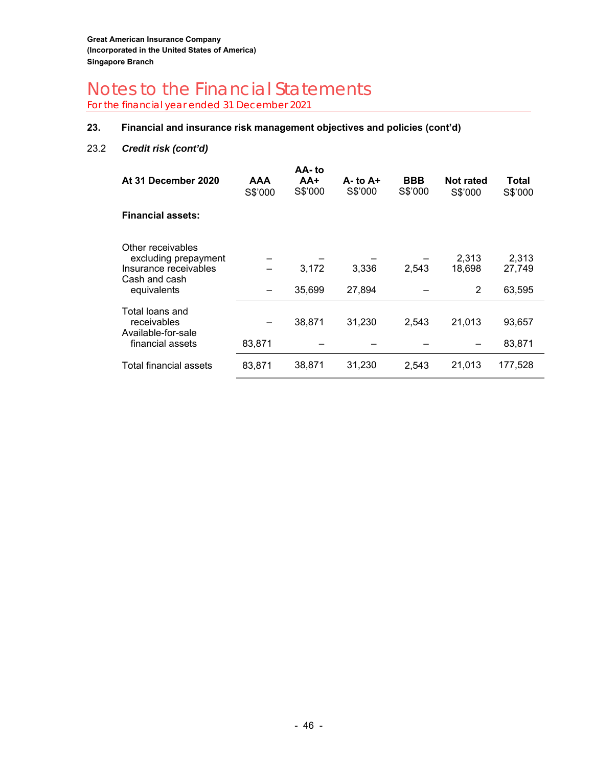For the financial year ended 31 December 2021

#### **23. Financial and insurance risk management objectives and policies (cont'd)**

#### 23.2 *Credit risk (cont'd)*

| At 31 December 2020                                                                                | AAA<br>S\$'000 | AA-to<br>AA+<br>S\$'000 | $A - t_0 A +$<br>S\$'000 | <b>BBB</b><br>S\$'000 | Not rated<br>S\$'000 | Total<br>S\$'000          |
|----------------------------------------------------------------------------------------------------|----------------|-------------------------|--------------------------|-----------------------|----------------------|---------------------------|
| <b>Financial assets:</b>                                                                           |                |                         |                          |                       |                      |                           |
| Other receivables<br>excluding prepayment<br>Insurance receivables<br>Cash and cash<br>equivalents |                | 3,172<br>35,699         | 3,336<br>27,894          | 2,543                 | 2,313<br>18,698<br>2 | 2,313<br>27,749<br>63,595 |
| Total loans and<br>receivables<br>Available-for-sale<br>financial assets                           | 83,871         | 38,871                  | 31,230                   | 2,543                 | 21,013               | 93,657<br>83,871          |
| Total financial assets                                                                             | 83,871         | 38,871                  | 31,230                   | 2,543                 | 21,013               | 177,528                   |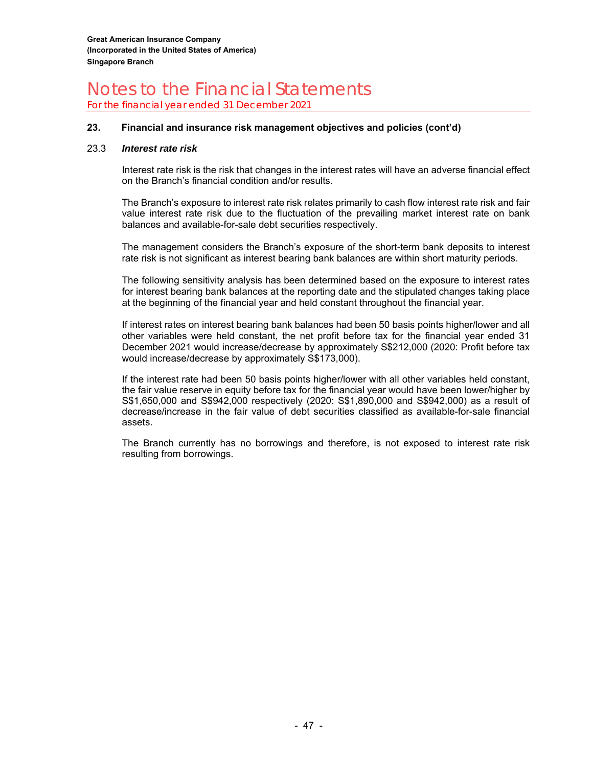For the financial year ended 31 December 2021

#### **23. Financial and insurance risk management objectives and policies (cont'd)**

#### 23.3 *Interest rate risk*

Interest rate risk is the risk that changes in the interest rates will have an adverse financial effect on the Branch's financial condition and/or results.

The Branch's exposure to interest rate risk relates primarily to cash flow interest rate risk and fair value interest rate risk due to the fluctuation of the prevailing market interest rate on bank balances and available-for-sale debt securities respectively.

The management considers the Branch's exposure of the short-term bank deposits to interest rate risk is not significant as interest bearing bank balances are within short maturity periods.

The following sensitivity analysis has been determined based on the exposure to interest rates for interest bearing bank balances at the reporting date and the stipulated changes taking place at the beginning of the financial year and held constant throughout the financial year.

If interest rates on interest bearing bank balances had been 50 basis points higher/lower and all other variables were held constant, the net profit before tax for the financial year ended 31 December 2021 would increase/decrease by approximately S\$212,000 (2020: Profit before tax would increase/decrease by approximately S\$173,000).

If the interest rate had been 50 basis points higher/lower with all other variables held constant, the fair value reserve in equity before tax for the financial year would have been lower/higher by S\$1,650,000 and S\$942,000 respectively (2020: S\$1,890,000 and S\$942,000) as a result of decrease/increase in the fair value of debt securities classified as available-for-sale financial assets.

The Branch currently has no borrowings and therefore, is not exposed to interest rate risk resulting from borrowings.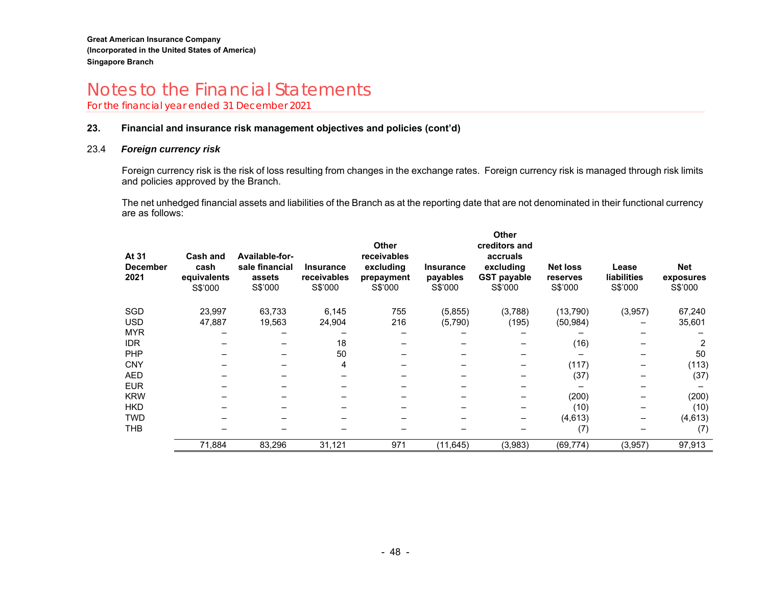For the financial year ended 31 December 2021

#### **23. Financial and insurance risk management objectives and policies (cont'd)**

#### 23.4 *Foreign currency risk*

Foreign currency risk is the risk of loss resulting from changes in the exchange rates. Foreign currency risk is managed through risk limits and policies approved by the Branch.

The net unhedged financial assets and liabilities of the Branch as at the reporting date that are not denominated in their functional currency are as follows:

| At 31<br><b>December</b><br>2021 | <b>Cash and</b><br>cash<br>equivalents<br>S\$'000 | Available-for-<br>sale financial<br>assets<br>S\$'000 | <b>Insurance</b><br>receivables<br>S\$'000 | <b>Other</b><br>receivables<br>excluding<br>prepayment<br>S\$'000 | <b>Insurance</b><br>payables<br>S\$'000 | <b>Other</b><br>creditors and<br>accruals<br>excluding<br><b>GST payable</b><br>S\$'000 | <b>Net loss</b><br>reserves<br>S\$'000 | Lease<br><b>liabilities</b><br>S\$'000 | <b>Net</b><br>exposures<br>S\$'000 |
|----------------------------------|---------------------------------------------------|-------------------------------------------------------|--------------------------------------------|-------------------------------------------------------------------|-----------------------------------------|-----------------------------------------------------------------------------------------|----------------------------------------|----------------------------------------|------------------------------------|
| SGD                              | 23,997                                            | 63,733                                                | 6,145                                      | 755                                                               | (5,855)                                 | (3,788)                                                                                 | (13,790)                               | (3,957)                                | 67,240                             |
| <b>USD</b>                       | 47,887                                            | 19,563                                                | 24,904                                     | 216                                                               | (5,790)                                 | (195)                                                                                   | (50, 984)                              |                                        | 35,601                             |
| <b>MYR</b>                       |                                                   |                                                       |                                            |                                                                   |                                         |                                                                                         |                                        |                                        |                                    |
| <b>IDR</b>                       |                                                   |                                                       | 18                                         |                                                                   |                                         |                                                                                         | (16)                                   |                                        | 2                                  |
| <b>PHP</b>                       |                                                   |                                                       | 50                                         |                                                                   |                                         |                                                                                         |                                        |                                        | 50                                 |
| <b>CNY</b>                       |                                                   |                                                       | 4                                          |                                                                   |                                         |                                                                                         | (117)                                  |                                        | (113)                              |
| <b>AED</b>                       |                                                   |                                                       |                                            |                                                                   |                                         |                                                                                         | (37)                                   |                                        | (37)                               |
| <b>EUR</b>                       |                                                   |                                                       |                                            |                                                                   |                                         |                                                                                         |                                        |                                        |                                    |
| <b>KRW</b>                       |                                                   |                                                       |                                            |                                                                   |                                         |                                                                                         | (200)                                  |                                        | (200)                              |
| <b>HKD</b>                       |                                                   |                                                       |                                            |                                                                   |                                         |                                                                                         | (10)                                   |                                        | (10)                               |
| <b>TWD</b>                       |                                                   |                                                       |                                            |                                                                   |                                         |                                                                                         | (4,613)                                |                                        | (4, 613)                           |
| THB                              |                                                   |                                                       |                                            |                                                                   |                                         |                                                                                         | (7)                                    |                                        | (7)                                |
|                                  | 71,884                                            | 83,296                                                | 31,121                                     | 971                                                               | (11, 645)                               | (3,983)                                                                                 | (69, 774)                              | (3,957)                                | 97,913                             |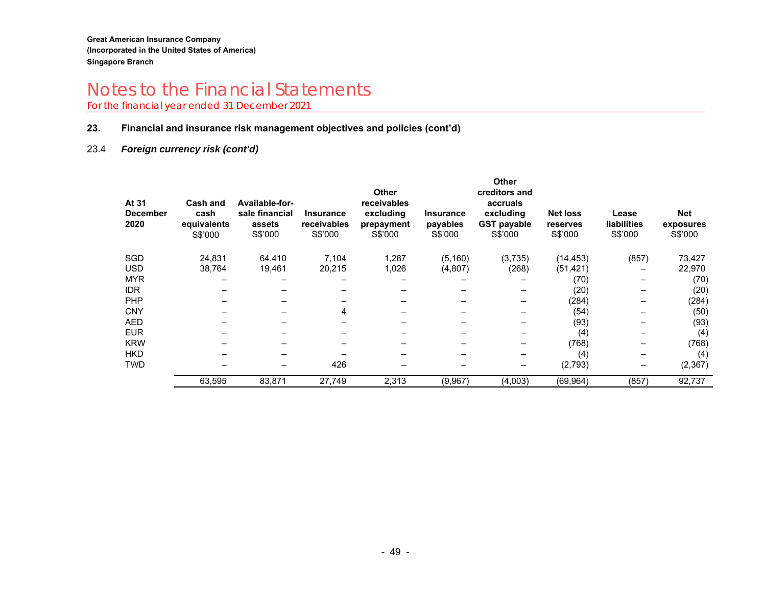For the financial year ended 31 December 2021

#### **23. Financial and insurance risk management objectives and policies (cont'd)**

#### 23.4 *Foreign currency risk (cont'd)*

| At 31<br><b>December</b><br>2020 | <b>Cash and</b><br>cash<br>equivalents<br>S\$'000 | Available-for-<br>sale financial<br>assets<br>S\$'000 | <b>Insurance</b><br><b>receivables</b><br>S\$'000 | <b>Other</b><br>receivables<br>excluding<br>prepayment<br>S\$'000 | <b>Insurance</b><br>payables<br>S\$'000 | <b>Other</b><br>creditors and<br>accruals<br>excluding<br><b>GST payable</b><br>S\$'000 | <b>Net loss</b><br>reserves<br>S\$'000 | Lease<br><b>liabilities</b><br>S\$'000 | <b>Net</b><br>exposures<br>S\$'000 |
|----------------------------------|---------------------------------------------------|-------------------------------------------------------|---------------------------------------------------|-------------------------------------------------------------------|-----------------------------------------|-----------------------------------------------------------------------------------------|----------------------------------------|----------------------------------------|------------------------------------|
| SGD                              | 24,831                                            | 64,410                                                | 7,104                                             | 1,287                                                             | (5, 160)                                | (3,735)                                                                                 | (14, 453)                              | (857)                                  | 73,427                             |
| <b>USD</b>                       | 38,764                                            | 19,461                                                | 20,215                                            | 1,026                                                             | (4,807)                                 | (268)                                                                                   | (51, 421)                              |                                        | 22,970                             |
| <b>MYR</b>                       |                                                   |                                                       |                                                   |                                                                   |                                         |                                                                                         | (70)                                   |                                        | (70)                               |
| <b>IDR</b>                       |                                                   |                                                       |                                                   |                                                                   |                                         |                                                                                         | (20)                                   |                                        | (20)                               |
| PHP                              |                                                   |                                                       |                                                   |                                                                   |                                         |                                                                                         | (284)                                  |                                        | (284)                              |
| <b>CNY</b>                       |                                                   |                                                       | 4                                                 |                                                                   |                                         |                                                                                         | (54)                                   |                                        | (50)                               |
| AED                              |                                                   |                                                       |                                                   |                                                                   |                                         |                                                                                         | (93)                                   |                                        | (93)                               |
| <b>EUR</b>                       |                                                   |                                                       |                                                   |                                                                   |                                         |                                                                                         | (4)                                    |                                        | (4)                                |
| <b>KRW</b>                       |                                                   |                                                       |                                                   |                                                                   |                                         |                                                                                         | (768)                                  |                                        | (768)                              |
| <b>HKD</b>                       |                                                   |                                                       |                                                   |                                                                   |                                         |                                                                                         | (4)                                    |                                        | (4)                                |
| <b>TWD</b>                       |                                                   |                                                       | 426                                               |                                                                   |                                         |                                                                                         | (2,793)                                |                                        | (2, 367)                           |
|                                  | 63,595                                            | 83,871                                                | 27,749                                            | 2,313                                                             | (9,967)                                 | (4,003)                                                                                 | (69, 964)                              | (857)                                  | 92,737                             |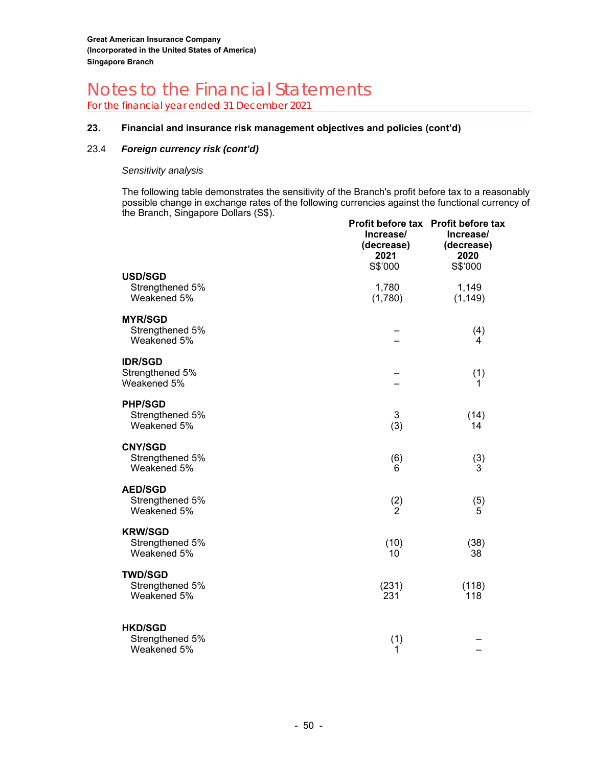For the financial year ended 31 December 2021

#### **23. Financial and insurance risk management objectives and policies (cont'd)**

#### 23.4 *Foreign currency risk (cont'd)*

#### *Sensitivity analysis*

The following table demonstrates the sensitivity of the Branch's profit before tax to a reasonably possible change in exchange rates of the following currencies against the functional currency of the Branch, Singapore Dollars (S\$).

|                                                  | Increase/<br>(decrease)<br>2021<br>S\$'000 | Profit before tax Profit before tax<br>Increase/<br>(decrease)<br>2020<br>S\$'000 |
|--------------------------------------------------|--------------------------------------------|-----------------------------------------------------------------------------------|
| <b>USD/SGD</b><br>Strengthened 5%<br>Weakened 5% | 1,780<br>(1,780)                           | 1,149<br>(1, 149)                                                                 |
| <b>MYR/SGD</b><br>Strengthened 5%<br>Weakened 5% |                                            | (4)<br>4                                                                          |
| <b>IDR/SGD</b><br>Strengthened 5%<br>Weakened 5% |                                            | (1)<br>1                                                                          |
| <b>PHP/SGD</b><br>Strengthened 5%<br>Weakened 5% | 3<br>(3)                                   | (14)<br>14                                                                        |
| <b>CNY/SGD</b><br>Strengthened 5%<br>Weakened 5% | (6)<br>6                                   | (3)<br>3                                                                          |
| <b>AED/SGD</b><br>Strengthened 5%<br>Weakened 5% | $\binom{2}{2}$                             | $\binom{5}{5}$                                                                    |
| <b>KRW/SGD</b><br>Strengthened 5%<br>Weakened 5% | (10)<br>10                                 | (38)<br>38                                                                        |
| <b>TWD/SGD</b><br>Strengthened 5%<br>Weakened 5% | (231)<br>231                               | (118)<br>118                                                                      |
| <b>HKD/SGD</b><br>Strengthened 5%<br>Weakened 5% | (1)<br>1                                   |                                                                                   |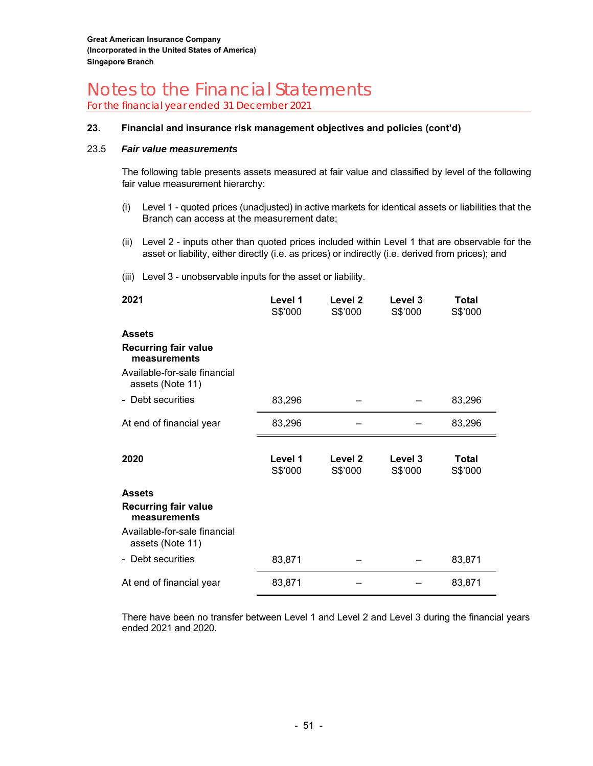For the financial year ended 31 December 2021

#### **23. Financial and insurance risk management objectives and policies (cont'd)**

#### 23.5 *Fair value measurements*

The following table presents assets measured at fair value and classified by level of the following fair value measurement hierarchy:

- (i) Level 1 quoted prices (unadjusted) in active markets for identical assets or liabilities that the Branch can access at the measurement date;
- (ii) Level 2 inputs other than quoted prices included within Level 1 that are observable for the asset or liability, either directly (i.e. as prices) or indirectly (i.e. derived from prices); and
- (iii) Level 3 unobservable inputs for the asset or liability.

| 2021                                             | Level 1<br>S\$'000 | Level <sub>2</sub><br>S\$'000 | Level 3<br>S\$'000 | <b>Total</b><br>S\$'000 |
|--------------------------------------------------|--------------------|-------------------------------|--------------------|-------------------------|
| <b>Assets</b>                                    |                    |                               |                    |                         |
| <b>Recurring fair value</b><br>measurements      |                    |                               |                    |                         |
| Available-for-sale financial<br>assets (Note 11) |                    |                               |                    |                         |
| - Debt securities                                | 83,296             |                               |                    | 83,296                  |
| At end of financial year                         | 83,296             |                               |                    | 83,296                  |
| 2020                                             | Level 1<br>S\$'000 | Level 2<br>S\$'000            | Level 3<br>S\$'000 | <b>Total</b><br>S\$'000 |
| <b>Assets</b>                                    |                    |                               |                    |                         |
| <b>Recurring fair value</b><br>measurements      |                    |                               |                    |                         |
| Available-for-sale financial<br>assets (Note 11) |                    |                               |                    |                         |
| - Debt securities                                | 83,871             |                               |                    | 83,871                  |
| At end of financial year                         | 83,871             |                               |                    | 83,871                  |

There have been no transfer between Level 1 and Level 2 and Level 3 during the financial years ended 2021 and 2020.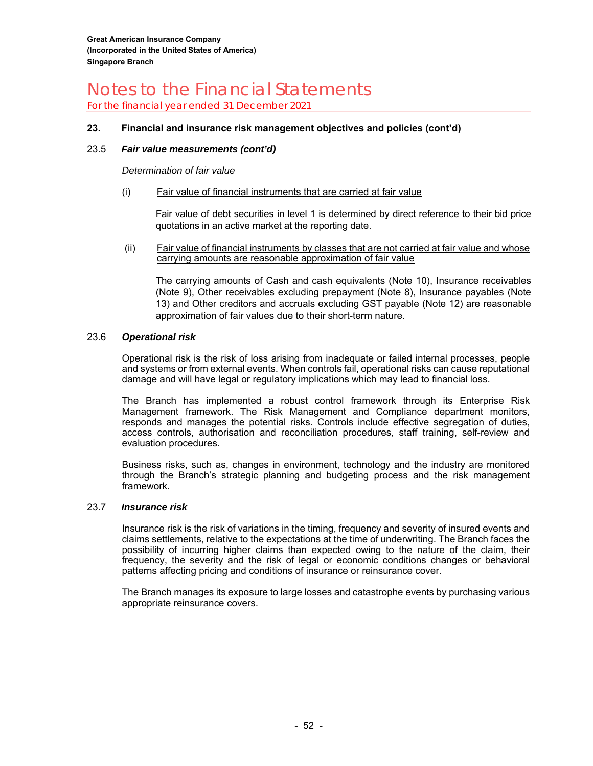For the financial year ended 31 December 2021

#### **23. Financial and insurance risk management objectives and policies (cont'd)**

#### 23.5 *Fair value measurements (cont'd)*

#### *Determination of fair value*

#### (i) Fair value of financial instruments that are carried at fair value

Fair value of debt securities in level 1 is determined by direct reference to their bid price quotations in an active market at the reporting date.

 (ii) Fair value of financial instruments by classes that are not carried at fair value and whose carrying amounts are reasonable approximation of fair value

The carrying amounts of Cash and cash equivalents (Note 10), Insurance receivables (Note 9), Other receivables excluding prepayment (Note 8), Insurance payables (Note 13) and Other creditors and accruals excluding GST payable (Note 12) are reasonable approximation of fair values due to their short-term nature.

#### 23.6 *Operational risk*

Operational risk is the risk of loss arising from inadequate or failed internal processes, people and systems or from external events. When controls fail, operational risks can cause reputational damage and will have legal or regulatory implications which may lead to financial loss.

The Branch has implemented a robust control framework through its Enterprise Risk Management framework. The Risk Management and Compliance department monitors, responds and manages the potential risks. Controls include effective segregation of duties, access controls, authorisation and reconciliation procedures, staff training, self-review and evaluation procedures.

Business risks, such as, changes in environment, technology and the industry are monitored through the Branch's strategic planning and budgeting process and the risk management framework.

#### 23.7 *Insurance risk*

Insurance risk is the risk of variations in the timing, frequency and severity of insured events and claims settlements, relative to the expectations at the time of underwriting. The Branch faces the possibility of incurring higher claims than expected owing to the nature of the claim, their frequency, the severity and the risk of legal or economic conditions changes or behavioral patterns affecting pricing and conditions of insurance or reinsurance cover.

The Branch manages its exposure to large losses and catastrophe events by purchasing various appropriate reinsurance covers.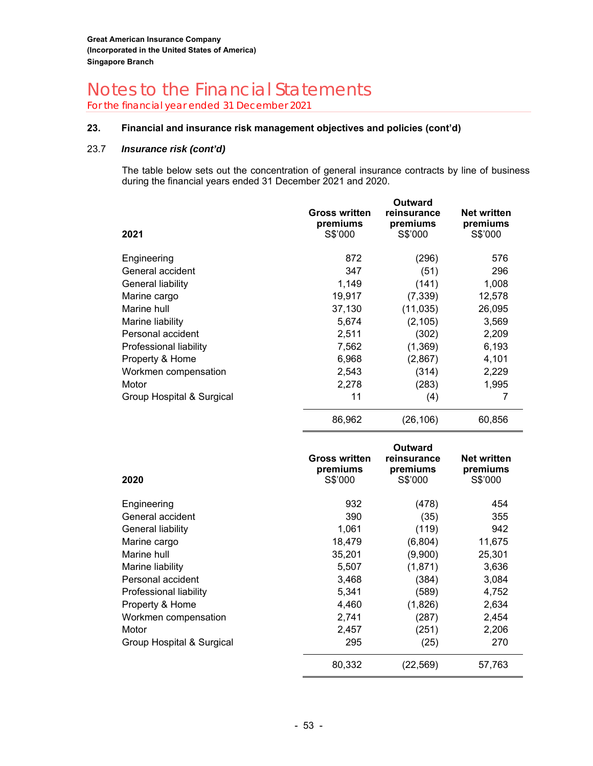For the financial year ended 31 December 2021

#### **23. Financial and insurance risk management objectives and policies (cont'd)**

#### 23.7 *Insurance risk (cont'd)*

The table below sets out the concentration of general insurance contracts by line of business during the financial years ended 31 December 2021 and 2020.

| 2021                      | <b>Gross written</b><br>premiums<br>S\$'000 | Outward<br>reinsurance<br>premiums<br>S\$'000 | <b>Net written</b><br>premiums<br>S\$'000 |
|---------------------------|---------------------------------------------|-----------------------------------------------|-------------------------------------------|
| Engineering               | 872                                         | (296)                                         | 576                                       |
| General accident          | 347                                         | (51)                                          | 296                                       |
| General liability         | 1,149                                       | (141)                                         | 1,008                                     |
| Marine cargo              | 19,917                                      | (7, 339)                                      | 12,578                                    |
| Marine hull               | 37,130                                      | (11, 035)                                     | 26,095                                    |
| Marine liability          | 5,674                                       | (2, 105)                                      | 3,569                                     |
| Personal accident         | 2,511                                       | (302)                                         | 2,209                                     |
| Professional liability    | 7,562                                       | (1, 369)                                      | 6,193                                     |
| Property & Home           | 6,968                                       | (2,867)                                       | 4,101                                     |
| Workmen compensation      | 2,543                                       | (314)                                         | 2,229                                     |
| Motor                     | 2,278                                       | (283)                                         | 1,995                                     |
| Group Hospital & Surgical | 11                                          | (4)                                           | 7                                         |
|                           | 86,962                                      | (26,106)                                      | 60,856                                    |

| 2020                      | <b>Gross written</b><br>premiums<br>S\$'000 | Outward<br>reinsurance<br>premiums<br>S\$'000 | <b>Net written</b><br>premiums<br>S\$'000 |
|---------------------------|---------------------------------------------|-----------------------------------------------|-------------------------------------------|
| Engineering               | 932                                         | (478)                                         | 454                                       |
| General accident          | 390                                         | (35)                                          | 355                                       |
| General liability         | 1,061                                       | (119)                                         | 942                                       |
| Marine cargo              | 18,479                                      | (6,804)                                       | 11,675                                    |
| Marine hull               | 35,201                                      | (9,900)                                       | 25,301                                    |
| Marine liability          | 5,507                                       | (1,871)                                       | 3,636                                     |
| Personal accident         | 3,468                                       | (384)                                         | 3,084                                     |
| Professional liability    | 5,341                                       | (589)                                         | 4,752                                     |
| Property & Home           | 4,460                                       | (1,826)                                       | 2,634                                     |
| Workmen compensation      | 2,741                                       | (287)                                         | 2,454                                     |
| Motor                     | 2,457                                       | (251)                                         | 2,206                                     |
| Group Hospital & Surgical | 295                                         | (25)                                          | 270                                       |
|                           | 80,332                                      | (22, 569)                                     | 57,763                                    |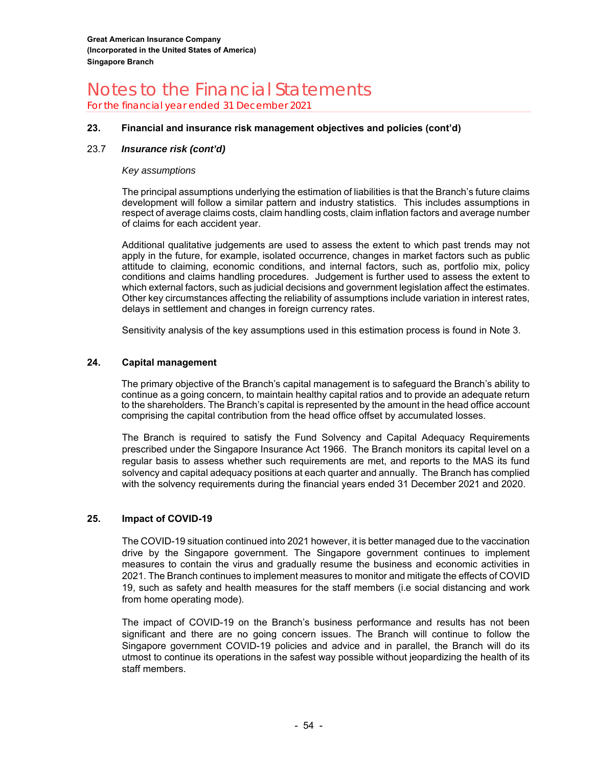For the financial year ended 31 December 2021

#### **23. Financial and insurance risk management objectives and policies (cont'd)**

#### 23.7 *Insurance risk (cont'd)*

#### *Key assumptions*

The principal assumptions underlying the estimation of liabilities is that the Branch's future claims development will follow a similar pattern and industry statistics. This includes assumptions in respect of average claims costs, claim handling costs, claim inflation factors and average number of claims for each accident year.

Additional qualitative judgements are used to assess the extent to which past trends may not apply in the future, for example, isolated occurrence, changes in market factors such as public attitude to claiming, economic conditions, and internal factors, such as, portfolio mix, policy conditions and claims handling procedures. Judgement is further used to assess the extent to which external factors, such as judicial decisions and government legislation affect the estimates. Other key circumstances affecting the reliability of assumptions include variation in interest rates, delays in settlement and changes in foreign currency rates.

Sensitivity analysis of the key assumptions used in this estimation process is found in Note 3.

#### **24. Capital management**

The primary objective of the Branch's capital management is to safeguard the Branch's ability to continue as a going concern, to maintain healthy capital ratios and to provide an adequate return to the shareholders. The Branch's capital is represented by the amount in the head office account comprising the capital contribution from the head office offset by accumulated losses.

The Branch is required to satisfy the Fund Solvency and Capital Adequacy Requirements prescribed under the Singapore Insurance Act 1966. The Branch monitors its capital level on a regular basis to assess whether such requirements are met, and reports to the MAS its fund solvency and capital adequacy positions at each quarter and annually. The Branch has complied with the solvency requirements during the financial years ended 31 December 2021 and 2020.

#### **25. Impact of COVID-19**

The COVID-19 situation continued into 2021 however, it is better managed due to the vaccination drive by the Singapore government. The Singapore government continues to implement measures to contain the virus and gradually resume the business and economic activities in 2021. The Branch continues to implement measures to monitor and mitigate the effects of COVID 19, such as safety and health measures for the staff members (i.e social distancing and work from home operating mode).

The impact of COVID-19 on the Branch's business performance and results has not been significant and there are no going concern issues. The Branch will continue to follow the Singapore government COVID-19 policies and advice and in parallel, the Branch will do its utmost to continue its operations in the safest way possible without jeopardizing the health of its staff members.